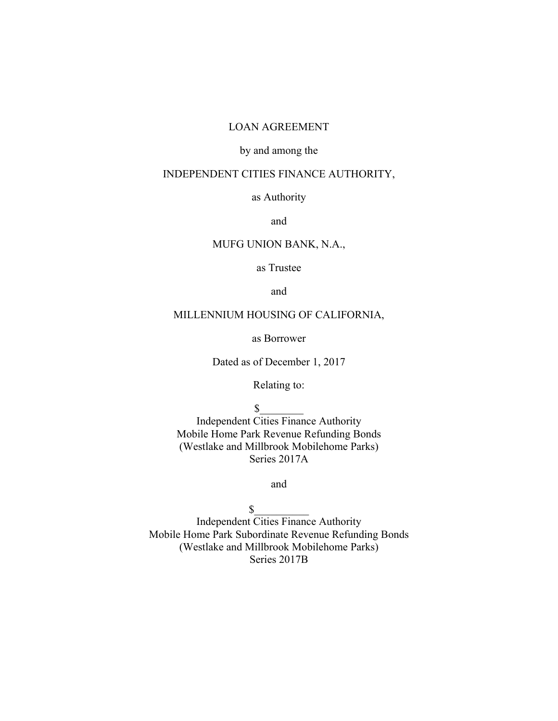#### LOAN AGREEMENT

## by and among the

#### INDEPENDENT CITIES FINANCE AUTHORITY,

#### as Authority

and

#### MUFG UNION BANK, N.A.,

as Trustee

and

#### MILLENNIUM HOUSING OF CALIFORNIA,

as Borrower

Dated as of December 1, 2017

Relating to:

 $\mathbb{S}$ 

Independent Cities Finance Authority Mobile Home Park Revenue Refunding Bonds (Westlake and Millbrook Mobilehome Parks) Series 2017A

and

 $\mathbb{S}$ 

Independent Cities Finance Authority Mobile Home Park Subordinate Revenue Refunding Bonds (Westlake and Millbrook Mobilehome Parks) Series 2017B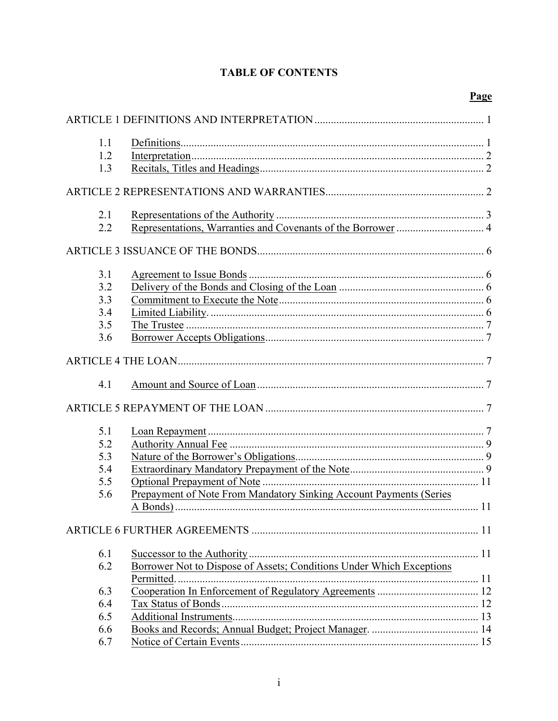| 1.1 |                                                                      |  |
|-----|----------------------------------------------------------------------|--|
| 1.2 |                                                                      |  |
| 1.3 |                                                                      |  |
|     |                                                                      |  |
|     |                                                                      |  |
| 2.1 |                                                                      |  |
| 2.2 |                                                                      |  |
|     |                                                                      |  |
|     |                                                                      |  |
| 3.1 |                                                                      |  |
| 3.2 |                                                                      |  |
| 3.3 |                                                                      |  |
| 3.4 |                                                                      |  |
| 3.5 |                                                                      |  |
| 3.6 |                                                                      |  |
|     |                                                                      |  |
| 4.1 |                                                                      |  |
|     |                                                                      |  |
| 5.1 |                                                                      |  |
| 5.2 |                                                                      |  |
| 5.3 |                                                                      |  |
| 5.4 |                                                                      |  |
| 5.5 |                                                                      |  |
| 5.6 | Prepayment of Note From Mandatory Sinking Account Payments (Series   |  |
|     |                                                                      |  |
|     |                                                                      |  |
|     |                                                                      |  |
| 6.1 |                                                                      |  |
| 6.2 | Borrower Not to Dispose of Assets; Conditions Under Which Exceptions |  |
|     |                                                                      |  |
| 6.3 |                                                                      |  |
| 6.4 |                                                                      |  |
| 6.5 |                                                                      |  |
| 6.6 |                                                                      |  |
| 6.7 |                                                                      |  |

## **TABLE OF CONTENTS**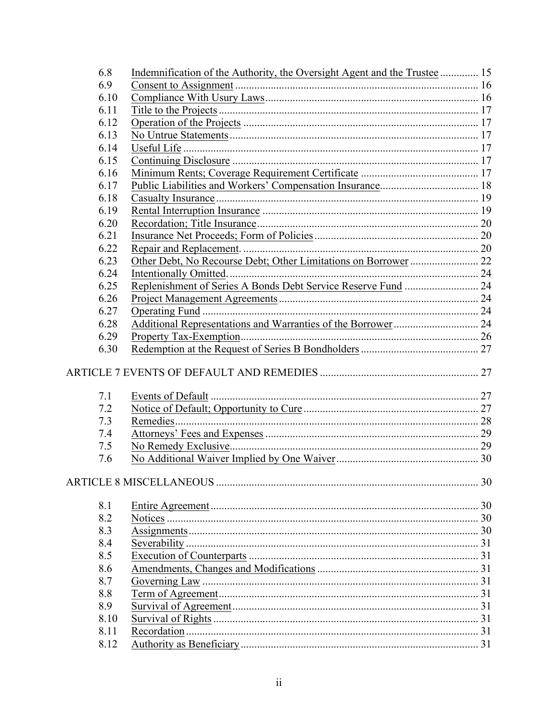| 6.8  | Indemnification of the Authority, the Oversight Agent and the Trustee  15 |  |
|------|---------------------------------------------------------------------------|--|
| 6.9  |                                                                           |  |
| 6.10 |                                                                           |  |
| 6.11 |                                                                           |  |
| 6.12 |                                                                           |  |
| 6.13 |                                                                           |  |
| 6.14 |                                                                           |  |
| 6.15 |                                                                           |  |
| 6.16 |                                                                           |  |
| 6.17 |                                                                           |  |
| 6.18 |                                                                           |  |
| 6.19 |                                                                           |  |
| 6.20 |                                                                           |  |
| 6.21 |                                                                           |  |
| 6.22 |                                                                           |  |
| 6.23 |                                                                           |  |
| 6.24 | Intentionally Omitted                                                     |  |
| 6.25 |                                                                           |  |
| 6.26 |                                                                           |  |
| 6.27 |                                                                           |  |
| 6.28 |                                                                           |  |
| 6.29 |                                                                           |  |
| 6.30 |                                                                           |  |
|      |                                                                           |  |
| 7.1  |                                                                           |  |
| 7.2  |                                                                           |  |
| 7.3  | Remedies.                                                                 |  |
| 7.4  |                                                                           |  |
| 7.5  |                                                                           |  |
| 7.6  |                                                                           |  |
|      |                                                                           |  |
|      |                                                                           |  |
| 8.1  |                                                                           |  |
| 8.2  |                                                                           |  |
| 8.3  |                                                                           |  |
| 8.4  |                                                                           |  |
| 8.5  |                                                                           |  |
| 8.6  |                                                                           |  |
| 8.7  |                                                                           |  |
| 8.8  |                                                                           |  |
| 8.9  |                                                                           |  |
| 8.10 |                                                                           |  |
| 8.11 |                                                                           |  |
| 8.12 |                                                                           |  |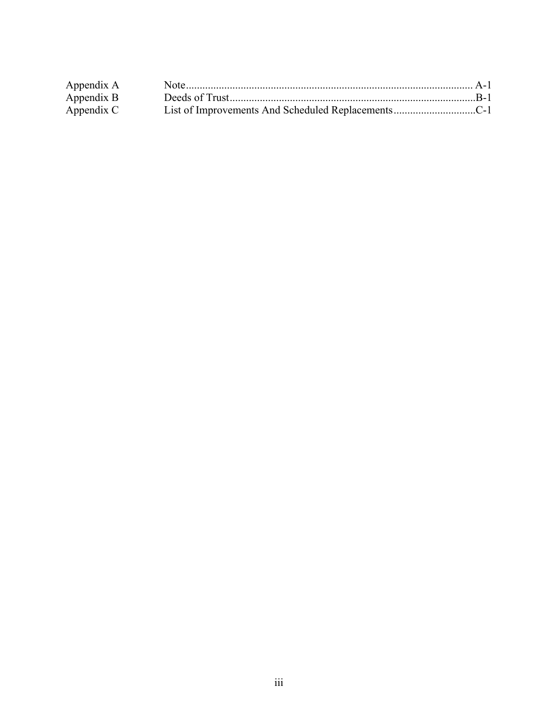| Appendix A |  |
|------------|--|
| Appendix B |  |
| Appendix C |  |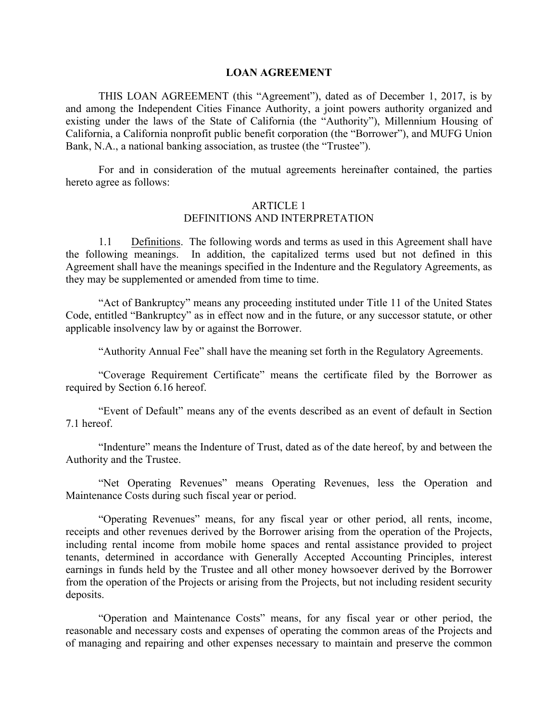#### **LOAN AGREEMENT**

THIS LOAN AGREEMENT (this "Agreement"), dated as of December 1, 2017, is by and among the Independent Cities Finance Authority, a joint powers authority organized and existing under the laws of the State of California (the "Authority"), Millennium Housing of California, a California nonprofit public benefit corporation (the "Borrower"), and MUFG Union Bank, N.A., a national banking association, as trustee (the "Trustee").

For and in consideration of the mutual agreements hereinafter contained, the parties hereto agree as follows:

## ARTICLE 1

#### DEFINITIONS AND INTERPRETATION

1.1 Definitions. The following words and terms as used in this Agreement shall have the following meanings. In addition, the capitalized terms used but not defined in this Agreement shall have the meanings specified in the Indenture and the Regulatory Agreements, as they may be supplemented or amended from time to time.

"Act of Bankruptcy" means any proceeding instituted under Title 11 of the United States Code, entitled "Bankruptcy" as in effect now and in the future, or any successor statute, or other applicable insolvency law by or against the Borrower.

"Authority Annual Fee" shall have the meaning set forth in the Regulatory Agreements.

"Coverage Requirement Certificate" means the certificate filed by the Borrower as required by Section 6.16 hereof.

"Event of Default" means any of the events described as an event of default in Section 7.1 hereof.

"Indenture" means the Indenture of Trust, dated as of the date hereof, by and between the Authority and the Trustee.

"Net Operating Revenues" means Operating Revenues, less the Operation and Maintenance Costs during such fiscal year or period.

"Operating Revenues" means, for any fiscal year or other period, all rents, income, receipts and other revenues derived by the Borrower arising from the operation of the Projects, including rental income from mobile home spaces and rental assistance provided to project tenants, determined in accordance with Generally Accepted Accounting Principles, interest earnings in funds held by the Trustee and all other money howsoever derived by the Borrower from the operation of the Projects or arising from the Projects, but not including resident security deposits.

"Operation and Maintenance Costs" means, for any fiscal year or other period, the reasonable and necessary costs and expenses of operating the common areas of the Projects and of managing and repairing and other expenses necessary to maintain and preserve the common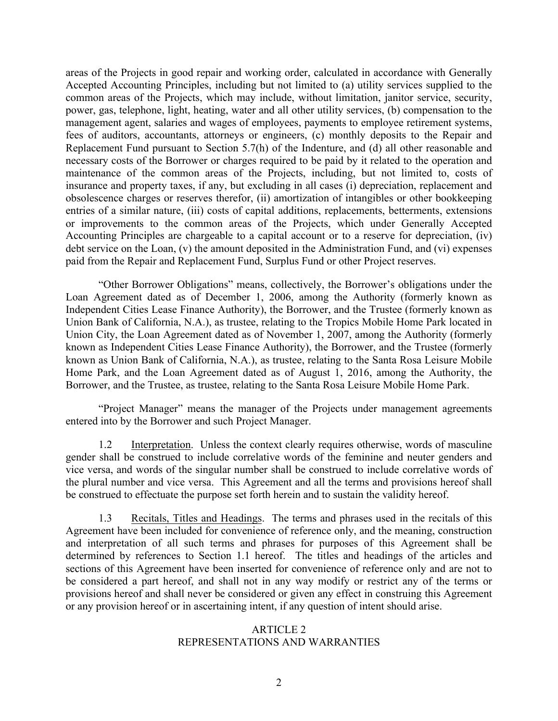areas of the Projects in good repair and working order, calculated in accordance with Generally Accepted Accounting Principles, including but not limited to (a) utility services supplied to the common areas of the Projects, which may include, without limitation, janitor service, security, power, gas, telephone, light, heating, water and all other utility services, (b) compensation to the management agent, salaries and wages of employees, payments to employee retirement systems, fees of auditors, accountants, attorneys or engineers, (c) monthly deposits to the Repair and Replacement Fund pursuant to Section 5.7(h) of the Indenture, and (d) all other reasonable and necessary costs of the Borrower or charges required to be paid by it related to the operation and maintenance of the common areas of the Projects, including, but not limited to, costs of insurance and property taxes, if any, but excluding in all cases (i) depreciation, replacement and obsolescence charges or reserves therefor, (ii) amortization of intangibles or other bookkeeping entries of a similar nature, (iii) costs of capital additions, replacements, betterments, extensions or improvements to the common areas of the Projects, which under Generally Accepted Accounting Principles are chargeable to a capital account or to a reserve for depreciation, (iv) debt service on the Loan, (v) the amount deposited in the Administration Fund, and (vi) expenses paid from the Repair and Replacement Fund, Surplus Fund or other Project reserves.

"Other Borrower Obligations" means, collectively, the Borrower's obligations under the Loan Agreement dated as of December 1, 2006, among the Authority (formerly known as Independent Cities Lease Finance Authority), the Borrower, and the Trustee (formerly known as Union Bank of California, N.A.), as trustee, relating to the Tropics Mobile Home Park located in Union City, the Loan Agreement dated as of November 1, 2007, among the Authority (formerly known as Independent Cities Lease Finance Authority), the Borrower, and the Trustee (formerly known as Union Bank of California, N.A.), as trustee, relating to the Santa Rosa Leisure Mobile Home Park, and the Loan Agreement dated as of August 1, 2016, among the Authority, the Borrower, and the Trustee, as trustee, relating to the Santa Rosa Leisure Mobile Home Park.

"Project Manager" means the manager of the Projects under management agreements entered into by the Borrower and such Project Manager.

1.2 Interpretation. Unless the context clearly requires otherwise, words of masculine gender shall be construed to include correlative words of the feminine and neuter genders and vice versa, and words of the singular number shall be construed to include correlative words of the plural number and vice versa. This Agreement and all the terms and provisions hereof shall be construed to effectuate the purpose set forth herein and to sustain the validity hereof.

1.3 Recitals, Titles and Headings. The terms and phrases used in the recitals of this Agreement have been included for convenience of reference only, and the meaning, construction and interpretation of all such terms and phrases for purposes of this Agreement shall be determined by references to Section 1.1 hereof. The titles and headings of the articles and sections of this Agreement have been inserted for convenience of reference only and are not to be considered a part hereof, and shall not in any way modify or restrict any of the terms or provisions hereof and shall never be considered or given any effect in construing this Agreement or any provision hereof or in ascertaining intent, if any question of intent should arise.

## ARTICLE 2 REPRESENTATIONS AND WARRANTIES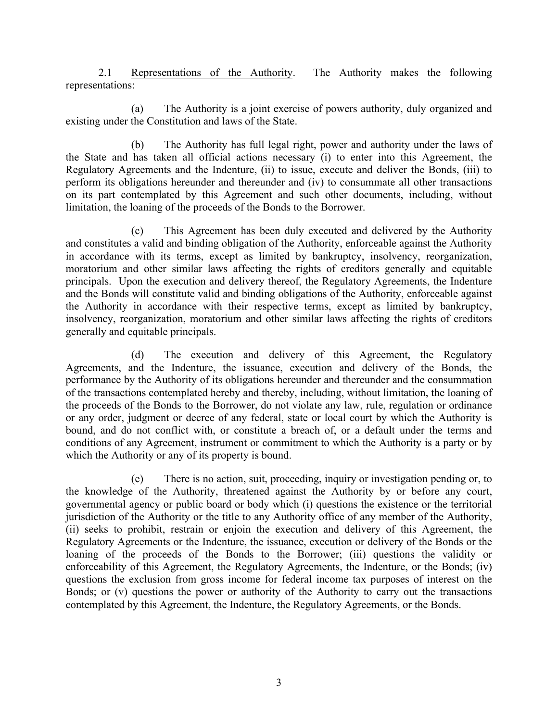2.1 Representations of the Authority. The Authority makes the following representations:

(a) The Authority is a joint exercise of powers authority, duly organized and existing under the Constitution and laws of the State.

(b) The Authority has full legal right, power and authority under the laws of the State and has taken all official actions necessary (i) to enter into this Agreement, the Regulatory Agreements and the Indenture, (ii) to issue, execute and deliver the Bonds, (iii) to perform its obligations hereunder and thereunder and (iv) to consummate all other transactions on its part contemplated by this Agreement and such other documents, including, without limitation, the loaning of the proceeds of the Bonds to the Borrower.

(c) This Agreement has been duly executed and delivered by the Authority and constitutes a valid and binding obligation of the Authority, enforceable against the Authority in accordance with its terms, except as limited by bankruptcy, insolvency, reorganization, moratorium and other similar laws affecting the rights of creditors generally and equitable principals. Upon the execution and delivery thereof, the Regulatory Agreements, the Indenture and the Bonds will constitute valid and binding obligations of the Authority, enforceable against the Authority in accordance with their respective terms, except as limited by bankruptcy, insolvency, reorganization, moratorium and other similar laws affecting the rights of creditors generally and equitable principals.

(d) The execution and delivery of this Agreement, the Regulatory Agreements, and the Indenture, the issuance, execution and delivery of the Bonds, the performance by the Authority of its obligations hereunder and thereunder and the consummation of the transactions contemplated hereby and thereby, including, without limitation, the loaning of the proceeds of the Bonds to the Borrower, do not violate any law, rule, regulation or ordinance or any order, judgment or decree of any federal, state or local court by which the Authority is bound, and do not conflict with, or constitute a breach of, or a default under the terms and conditions of any Agreement, instrument or commitment to which the Authority is a party or by which the Authority or any of its property is bound.

(e) There is no action, suit, proceeding, inquiry or investigation pending or, to the knowledge of the Authority, threatened against the Authority by or before any court, governmental agency or public board or body which (i) questions the existence or the territorial jurisdiction of the Authority or the title to any Authority office of any member of the Authority, (ii) seeks to prohibit, restrain or enjoin the execution and delivery of this Agreement, the Regulatory Agreements or the Indenture, the issuance, execution or delivery of the Bonds or the loaning of the proceeds of the Bonds to the Borrower; (iii) questions the validity or enforceability of this Agreement, the Regulatory Agreements, the Indenture, or the Bonds; (iv) questions the exclusion from gross income for federal income tax purposes of interest on the Bonds; or (v) questions the power or authority of the Authority to carry out the transactions contemplated by this Agreement, the Indenture, the Regulatory Agreements, or the Bonds.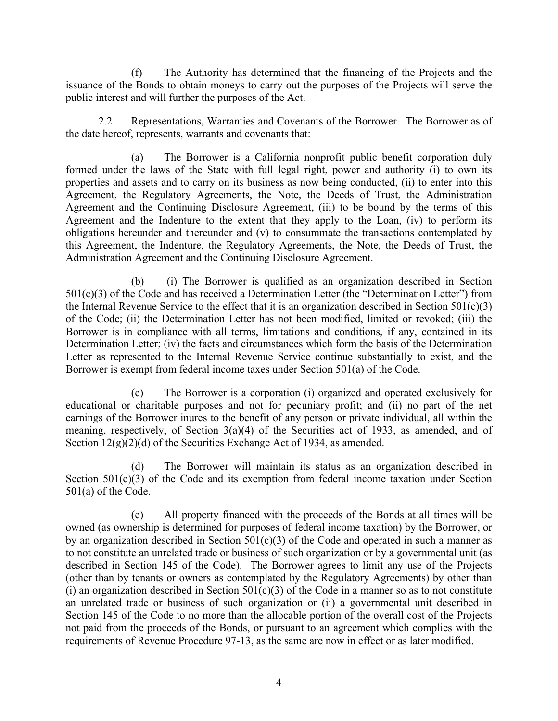(f) The Authority has determined that the financing of the Projects and the issuance of the Bonds to obtain moneys to carry out the purposes of the Projects will serve the public interest and will further the purposes of the Act.

2.2 Representations, Warranties and Covenants of the Borrower. The Borrower as of the date hereof, represents, warrants and covenants that:

(a) The Borrower is a California nonprofit public benefit corporation duly formed under the laws of the State with full legal right, power and authority (i) to own its properties and assets and to carry on its business as now being conducted, (ii) to enter into this Agreement, the Regulatory Agreements, the Note, the Deeds of Trust, the Administration Agreement and the Continuing Disclosure Agreement, (iii) to be bound by the terms of this Agreement and the Indenture to the extent that they apply to the Loan, (iv) to perform its obligations hereunder and thereunder and (v) to consummate the transactions contemplated by this Agreement, the Indenture, the Regulatory Agreements, the Note, the Deeds of Trust, the Administration Agreement and the Continuing Disclosure Agreement.

(b) (i) The Borrower is qualified as an organization described in Section 501(c)(3) of the Code and has received a Determination Letter (the "Determination Letter") from the Internal Revenue Service to the effect that it is an organization described in Section  $501(c)(3)$ of the Code; (ii) the Determination Letter has not been modified, limited or revoked; (iii) the Borrower is in compliance with all terms, limitations and conditions, if any, contained in its Determination Letter; (iv) the facts and circumstances which form the basis of the Determination Letter as represented to the Internal Revenue Service continue substantially to exist, and the Borrower is exempt from federal income taxes under Section 501(a) of the Code.

(c) The Borrower is a corporation (i) organized and operated exclusively for educational or charitable purposes and not for pecuniary profit; and (ii) no part of the net earnings of the Borrower inures to the benefit of any person or private individual, all within the meaning, respectively, of Section 3(a)(4) of the Securities act of 1933, as amended, and of Section  $12(g)(2)(d)$  of the Securities Exchange Act of 1934, as amended.

(d) The Borrower will maintain its status as an organization described in Section 501(c)(3) of the Code and its exemption from federal income taxation under Section 501(a) of the Code.

(e) All property financed with the proceeds of the Bonds at all times will be owned (as ownership is determined for purposes of federal income taxation) by the Borrower, or by an organization described in Section  $501(c)(3)$  of the Code and operated in such a manner as to not constitute an unrelated trade or business of such organization or by a governmental unit (as described in Section 145 of the Code). The Borrower agrees to limit any use of the Projects (other than by tenants or owners as contemplated by the Regulatory Agreements) by other than (i) an organization described in Section  $501(c)(3)$  of the Code in a manner so as to not constitute an unrelated trade or business of such organization or (ii) a governmental unit described in Section 145 of the Code to no more than the allocable portion of the overall cost of the Projects not paid from the proceeds of the Bonds, or pursuant to an agreement which complies with the requirements of Revenue Procedure 97-13, as the same are now in effect or as later modified.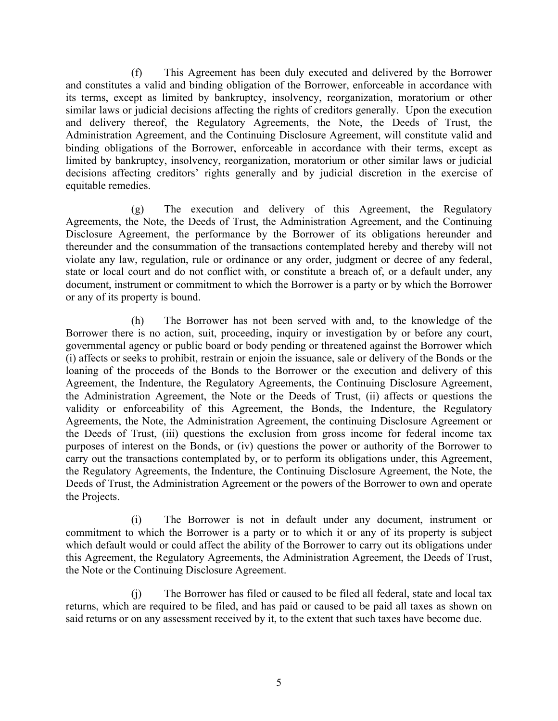(f) This Agreement has been duly executed and delivered by the Borrower and constitutes a valid and binding obligation of the Borrower, enforceable in accordance with its terms, except as limited by bankruptcy, insolvency, reorganization, moratorium or other similar laws or judicial decisions affecting the rights of creditors generally. Upon the execution and delivery thereof, the Regulatory Agreements, the Note, the Deeds of Trust, the Administration Agreement, and the Continuing Disclosure Agreement, will constitute valid and binding obligations of the Borrower, enforceable in accordance with their terms, except as limited by bankruptcy, insolvency, reorganization, moratorium or other similar laws or judicial decisions affecting creditors' rights generally and by judicial discretion in the exercise of equitable remedies.

(g) The execution and delivery of this Agreement, the Regulatory Agreements, the Note, the Deeds of Trust, the Administration Agreement, and the Continuing Disclosure Agreement, the performance by the Borrower of its obligations hereunder and thereunder and the consummation of the transactions contemplated hereby and thereby will not violate any law, regulation, rule or ordinance or any order, judgment or decree of any federal, state or local court and do not conflict with, or constitute a breach of, or a default under, any document, instrument or commitment to which the Borrower is a party or by which the Borrower or any of its property is bound.

(h) The Borrower has not been served with and, to the knowledge of the Borrower there is no action, suit, proceeding, inquiry or investigation by or before any court, governmental agency or public board or body pending or threatened against the Borrower which (i) affects or seeks to prohibit, restrain or enjoin the issuance, sale or delivery of the Bonds or the loaning of the proceeds of the Bonds to the Borrower or the execution and delivery of this Agreement, the Indenture, the Regulatory Agreements, the Continuing Disclosure Agreement, the Administration Agreement, the Note or the Deeds of Trust, (ii) affects or questions the validity or enforceability of this Agreement, the Bonds, the Indenture, the Regulatory Agreements, the Note, the Administration Agreement, the continuing Disclosure Agreement or the Deeds of Trust, (iii) questions the exclusion from gross income for federal income tax purposes of interest on the Bonds, or (iv) questions the power or authority of the Borrower to carry out the transactions contemplated by, or to perform its obligations under, this Agreement, the Regulatory Agreements, the Indenture, the Continuing Disclosure Agreement, the Note, the Deeds of Trust, the Administration Agreement or the powers of the Borrower to own and operate the Projects.

(i) The Borrower is not in default under any document, instrument or commitment to which the Borrower is a party or to which it or any of its property is subject which default would or could affect the ability of the Borrower to carry out its obligations under this Agreement, the Regulatory Agreements, the Administration Agreement, the Deeds of Trust, the Note or the Continuing Disclosure Agreement.

(j) The Borrower has filed or caused to be filed all federal, state and local tax returns, which are required to be filed, and has paid or caused to be paid all taxes as shown on said returns or on any assessment received by it, to the extent that such taxes have become due.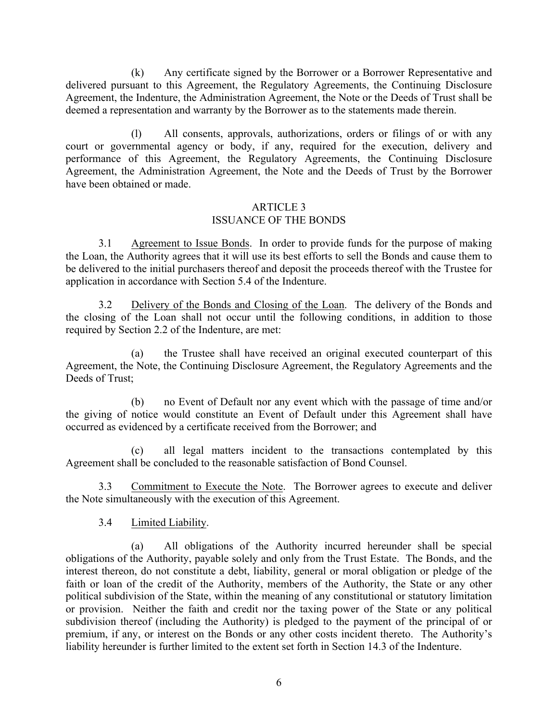(k) Any certificate signed by the Borrower or a Borrower Representative and delivered pursuant to this Agreement, the Regulatory Agreements, the Continuing Disclosure Agreement, the Indenture, the Administration Agreement, the Note or the Deeds of Trust shall be deemed a representation and warranty by the Borrower as to the statements made therein.

(l) All consents, approvals, authorizations, orders or filings of or with any court or governmental agency or body, if any, required for the execution, delivery and performance of this Agreement, the Regulatory Agreements, the Continuing Disclosure Agreement, the Administration Agreement, the Note and the Deeds of Trust by the Borrower have been obtained or made.

## ARTICLE 3 ISSUANCE OF THE BONDS

3.1 Agreement to Issue Bonds. In order to provide funds for the purpose of making the Loan, the Authority agrees that it will use its best efforts to sell the Bonds and cause them to be delivered to the initial purchasers thereof and deposit the proceeds thereof with the Trustee for application in accordance with Section 5.4 of the Indenture.

3.2 Delivery of the Bonds and Closing of the Loan. The delivery of the Bonds and the closing of the Loan shall not occur until the following conditions, in addition to those required by Section 2.2 of the Indenture, are met:

(a) the Trustee shall have received an original executed counterpart of this Agreement, the Note, the Continuing Disclosure Agreement, the Regulatory Agreements and the Deeds of Trust;

(b) no Event of Default nor any event which with the passage of time and/or the giving of notice would constitute an Event of Default under this Agreement shall have occurred as evidenced by a certificate received from the Borrower; and

(c) all legal matters incident to the transactions contemplated by this Agreement shall be concluded to the reasonable satisfaction of Bond Counsel.

3.3 Commitment to Execute the Note. The Borrower agrees to execute and deliver the Note simultaneously with the execution of this Agreement.

## 3.4 Limited Liability.

(a) All obligations of the Authority incurred hereunder shall be special obligations of the Authority, payable solely and only from the Trust Estate. The Bonds, and the interest thereon, do not constitute a debt, liability, general or moral obligation or pledge of the faith or loan of the credit of the Authority, members of the Authority, the State or any other political subdivision of the State, within the meaning of any constitutional or statutory limitation or provision. Neither the faith and credit nor the taxing power of the State or any political subdivision thereof (including the Authority) is pledged to the payment of the principal of or premium, if any, or interest on the Bonds or any other costs incident thereto. The Authority's liability hereunder is further limited to the extent set forth in Section 14.3 of the Indenture.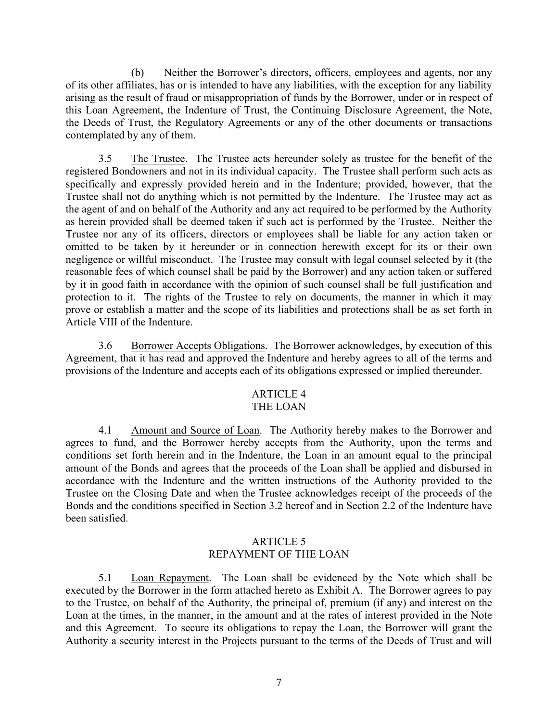(b) Neither the Borrower's directors, officers, employees and agents, nor any of its other affiliates, has or is intended to have any liabilities, with the exception for any liability arising as the result of fraud or misappropriation of funds by the Borrower, under or in respect of this Loan Agreement, the Indenture of Trust, the Continuing Disclosure Agreement, the Note, the Deeds of Trust, the Regulatory Agreements or any of the other documents or transactions contemplated by any of them.

3.5 The Trustee. The Trustee acts hereunder solely as trustee for the benefit of the registered Bondowners and not in its individual capacity. The Trustee shall perform such acts as specifically and expressly provided herein and in the Indenture; provided, however, that the Trustee shall not do anything which is not permitted by the Indenture. The Trustee may act as the agent of and on behalf of the Authority and any act required to be performed by the Authority as herein provided shall be deemed taken if such act is performed by the Trustee. Neither the Trustee nor any of its officers, directors or employees shall be liable for any action taken or omitted to be taken by it hereunder or in connection herewith except for its or their own negligence or willful misconduct. The Trustee may consult with legal counsel selected by it (the reasonable fees of which counsel shall be paid by the Borrower) and any action taken or suffered by it in good faith in accordance with the opinion of such counsel shall be full justification and protection to it. The rights of the Trustee to rely on documents, the manner in which it may prove or establish a matter and the scope of its liabilities and protections shall be as set forth in Article VIII of the Indenture.

3.6 Borrower Accepts Obligations. The Borrower acknowledges, by execution of this Agreement, that it has read and approved the Indenture and hereby agrees to all of the terms and provisions of the Indenture and accepts each of its obligations expressed or implied thereunder.

# ARTICLE 4

## THE LOAN

4.1 Amount and Source of Loan. The Authority hereby makes to the Borrower and agrees to fund, and the Borrower hereby accepts from the Authority, upon the terms and conditions set forth herein and in the Indenture, the Loan in an amount equal to the principal amount of the Bonds and agrees that the proceeds of the Loan shall be applied and disbursed in accordance with the Indenture and the written instructions of the Authority provided to the Trustee on the Closing Date and when the Trustee acknowledges receipt of the proceeds of the Bonds and the conditions specified in Section 3.2 hereof and in Section 2.2 of the Indenture have been satisfied.

## ARTICLE 5 REPAYMENT OF THE LOAN

5.1 Loan Repayment. The Loan shall be evidenced by the Note which shall be executed by the Borrower in the form attached hereto as Exhibit A. The Borrower agrees to pay to the Trustee, on behalf of the Authority, the principal of, premium (if any) and interest on the Loan at the times, in the manner, in the amount and at the rates of interest provided in the Note and this Agreement. To secure its obligations to repay the Loan, the Borrower will grant the Authority a security interest in the Projects pursuant to the terms of the Deeds of Trust and will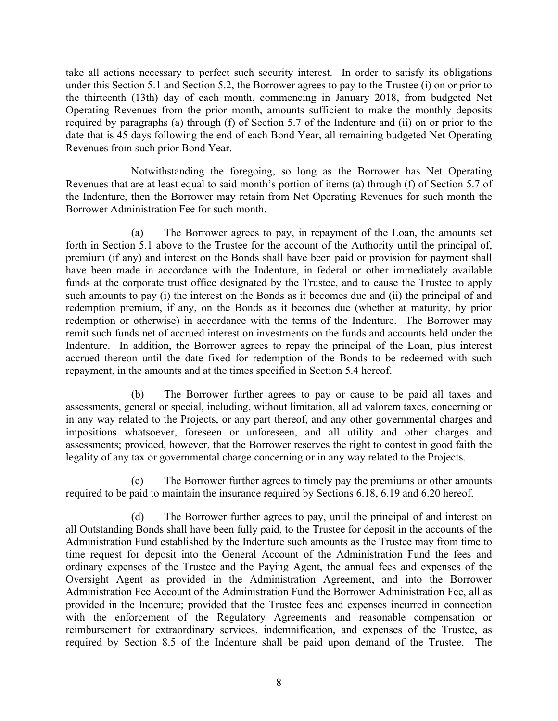take all actions necessary to perfect such security interest. In order to satisfy its obligations under this Section 5.1 and Section 5.2, the Borrower agrees to pay to the Trustee (i) on or prior to the thirteenth (13th) day of each month, commencing in January 2018, from budgeted Net Operating Revenues from the prior month, amounts sufficient to make the monthly deposits required by paragraphs (a) through (f) of Section 5.7 of the Indenture and (ii) on or prior to the date that is 45 days following the end of each Bond Year, all remaining budgeted Net Operating Revenues from such prior Bond Year.

Notwithstanding the foregoing, so long as the Borrower has Net Operating Revenues that are at least equal to said month's portion of items (a) through (f) of Section 5.7 of the Indenture, then the Borrower may retain from Net Operating Revenues for such month the Borrower Administration Fee for such month.

(a) The Borrower agrees to pay, in repayment of the Loan, the amounts set forth in Section 5.1 above to the Trustee for the account of the Authority until the principal of, premium (if any) and interest on the Bonds shall have been paid or provision for payment shall have been made in accordance with the Indenture, in federal or other immediately available funds at the corporate trust office designated by the Trustee, and to cause the Trustee to apply such amounts to pay (i) the interest on the Bonds as it becomes due and (ii) the principal of and redemption premium, if any, on the Bonds as it becomes due (whether at maturity, by prior redemption or otherwise) in accordance with the terms of the Indenture. The Borrower may remit such funds net of accrued interest on investments on the funds and accounts held under the Indenture. In addition, the Borrower agrees to repay the principal of the Loan, plus interest accrued thereon until the date fixed for redemption of the Bonds to be redeemed with such repayment, in the amounts and at the times specified in Section 5.4 hereof.

(b) The Borrower further agrees to pay or cause to be paid all taxes and assessments, general or special, including, without limitation, all ad valorem taxes, concerning or in any way related to the Projects, or any part thereof, and any other governmental charges and impositions whatsoever, foreseen or unforeseen, and all utility and other charges and assessments; provided, however, that the Borrower reserves the right to contest in good faith the legality of any tax or governmental charge concerning or in any way related to the Projects.

(c) The Borrower further agrees to timely pay the premiums or other amounts required to be paid to maintain the insurance required by Sections 6.18, 6.19 and 6.20 hereof.

(d) The Borrower further agrees to pay, until the principal of and interest on all Outstanding Bonds shall have been fully paid, to the Trustee for deposit in the accounts of the Administration Fund established by the Indenture such amounts as the Trustee may from time to time request for deposit into the General Account of the Administration Fund the fees and ordinary expenses of the Trustee and the Paying Agent, the annual fees and expenses of the Oversight Agent as provided in the Administration Agreement, and into the Borrower Administration Fee Account of the Administration Fund the Borrower Administration Fee, all as provided in the Indenture; provided that the Trustee fees and expenses incurred in connection with the enforcement of the Regulatory Agreements and reasonable compensation or reimbursement for extraordinary services, indemnification, and expenses of the Trustee, as required by Section 8.5 of the Indenture shall be paid upon demand of the Trustee. The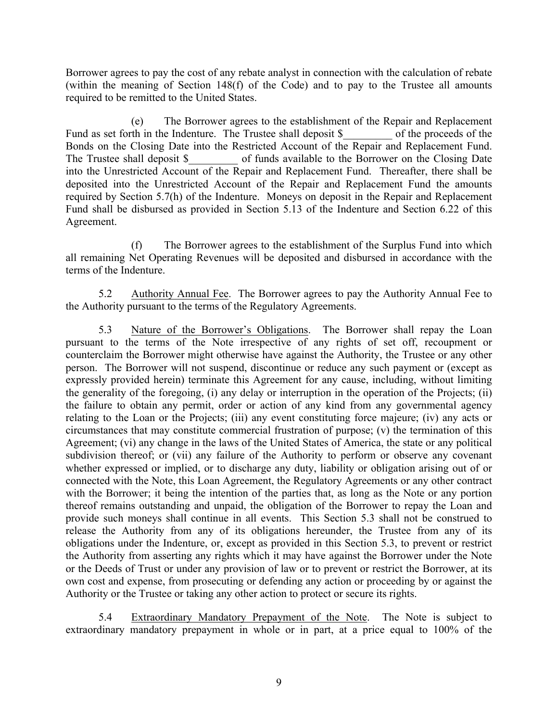Borrower agrees to pay the cost of any rebate analyst in connection with the calculation of rebate (within the meaning of Section 148(f) of the Code) and to pay to the Trustee all amounts required to be remitted to the United States.

(e) The Borrower agrees to the establishment of the Repair and Replacement Fund as set forth in the Indenture. The Trustee shall deposit \$ of the proceeds of the Bonds on the Closing Date into the Restricted Account of the Repair and Replacement Fund. The Trustee shall deposit \$ of funds available to the Borrower on the Closing Date into the Unrestricted Account of the Repair and Replacement Fund. Thereafter, there shall be deposited into the Unrestricted Account of the Repair and Replacement Fund the amounts required by Section 5.7(h) of the Indenture. Moneys on deposit in the Repair and Replacement Fund shall be disbursed as provided in Section 5.13 of the Indenture and Section 6.22 of this Agreement.

(f) The Borrower agrees to the establishment of the Surplus Fund into which all remaining Net Operating Revenues will be deposited and disbursed in accordance with the terms of the Indenture.

5.2 Authority Annual Fee. The Borrower agrees to pay the Authority Annual Fee to the Authority pursuant to the terms of the Regulatory Agreements.

5.3 Nature of the Borrower's Obligations. The Borrower shall repay the Loan pursuant to the terms of the Note irrespective of any rights of set off, recoupment or counterclaim the Borrower might otherwise have against the Authority, the Trustee or any other person. The Borrower will not suspend, discontinue or reduce any such payment or (except as expressly provided herein) terminate this Agreement for any cause, including, without limiting the generality of the foregoing, (i) any delay or interruption in the operation of the Projects; (ii) the failure to obtain any permit, order or action of any kind from any governmental agency relating to the Loan or the Projects; (iii) any event constituting force majeure; (iv) any acts or circumstances that may constitute commercial frustration of purpose; (v) the termination of this Agreement; (vi) any change in the laws of the United States of America, the state or any political subdivision thereof; or (vii) any failure of the Authority to perform or observe any covenant whether expressed or implied, or to discharge any duty, liability or obligation arising out of or connected with the Note, this Loan Agreement, the Regulatory Agreements or any other contract with the Borrower; it being the intention of the parties that, as long as the Note or any portion thereof remains outstanding and unpaid, the obligation of the Borrower to repay the Loan and provide such moneys shall continue in all events. This Section 5.3 shall not be construed to release the Authority from any of its obligations hereunder, the Trustee from any of its obligations under the Indenture, or, except as provided in this Section 5.3, to prevent or restrict the Authority from asserting any rights which it may have against the Borrower under the Note or the Deeds of Trust or under any provision of law or to prevent or restrict the Borrower, at its own cost and expense, from prosecuting or defending any action or proceeding by or against the Authority or the Trustee or taking any other action to protect or secure its rights.

5.4 Extraordinary Mandatory Prepayment of the Note. The Note is subject to extraordinary mandatory prepayment in whole or in part, at a price equal to 100% of the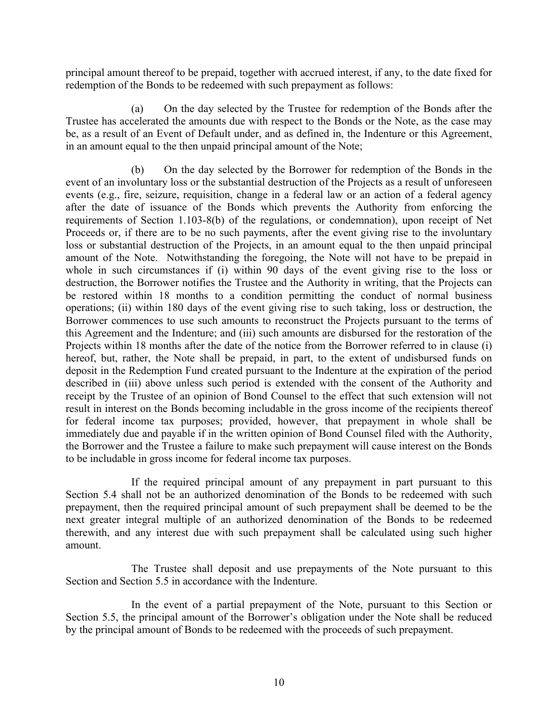principal amount thereof to be prepaid, together with accrued interest, if any, to the date fixed for redemption of the Bonds to be redeemed with such prepayment as follows:

(a) On the day selected by the Trustee for redemption of the Bonds after the Trustee has accelerated the amounts due with respect to the Bonds or the Note, as the case may be, as a result of an Event of Default under, and as defined in, the Indenture or this Agreement, in an amount equal to the then unpaid principal amount of the Note;

(b) On the day selected by the Borrower for redemption of the Bonds in the event of an involuntary loss or the substantial destruction of the Projects as a result of unforeseen events (e.g., fire, seizure, requisition, change in a federal law or an action of a federal agency after the date of issuance of the Bonds which prevents the Authority from enforcing the requirements of Section 1.103-8(b) of the regulations, or condemnation), upon receipt of Net Proceeds or, if there are to be no such payments, after the event giving rise to the involuntary loss or substantial destruction of the Projects, in an amount equal to the then unpaid principal amount of the Note. Notwithstanding the foregoing, the Note will not have to be prepaid in whole in such circumstances if (i) within 90 days of the event giving rise to the loss or destruction, the Borrower notifies the Trustee and the Authority in writing, that the Projects can be restored within 18 months to a condition permitting the conduct of normal business operations; (ii) within 180 days of the event giving rise to such taking, loss or destruction, the Borrower commences to use such amounts to reconstruct the Projects pursuant to the terms of this Agreement and the Indenture; and (iii) such amounts are disbursed for the restoration of the Projects within 18 months after the date of the notice from the Borrower referred to in clause (i) hereof, but, rather, the Note shall be prepaid, in part, to the extent of undisbursed funds on deposit in the Redemption Fund created pursuant to the Indenture at the expiration of the period described in (iii) above unless such period is extended with the consent of the Authority and receipt by the Trustee of an opinion of Bond Counsel to the effect that such extension will not result in interest on the Bonds becoming includable in the gross income of the recipients thereof for federal income tax purposes; provided, however, that prepayment in whole shall be immediately due and payable if in the written opinion of Bond Counsel filed with the Authority, the Borrower and the Trustee a failure to make such prepayment will cause interest on the Bonds to be includable in gross income for federal income tax purposes.

If the required principal amount of any prepayment in part pursuant to this Section 5.4 shall not be an authorized denomination of the Bonds to be redeemed with such prepayment, then the required principal amount of such prepayment shall be deemed to be the next greater integral multiple of an authorized denomination of the Bonds to be redeemed therewith, and any interest due with such prepayment shall be calculated using such higher amount.

The Trustee shall deposit and use prepayments of the Note pursuant to this Section and Section 5.5 in accordance with the Indenture.

In the event of a partial prepayment of the Note, pursuant to this Section or Section 5.5, the principal amount of the Borrower's obligation under the Note shall be reduced by the principal amount of Bonds to be redeemed with the proceeds of such prepayment.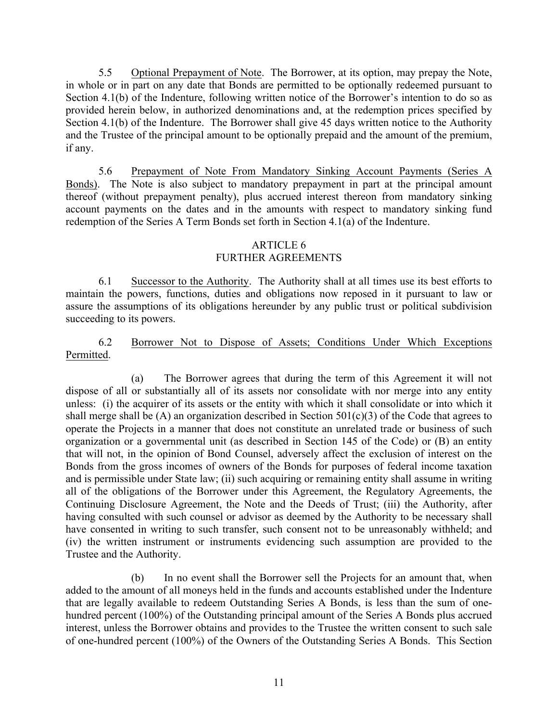5.5 Optional Prepayment of Note. The Borrower, at its option, may prepay the Note, in whole or in part on any date that Bonds are permitted to be optionally redeemed pursuant to Section 4.1(b) of the Indenture, following written notice of the Borrower's intention to do so as provided herein below, in authorized denominations and, at the redemption prices specified by Section 4.1(b) of the Indenture. The Borrower shall give 45 days written notice to the Authority and the Trustee of the principal amount to be optionally prepaid and the amount of the premium, if any.

5.6 Prepayment of Note From Mandatory Sinking Account Payments (Series A Bonds). The Note is also subject to mandatory prepayment in part at the principal amount thereof (without prepayment penalty), plus accrued interest thereon from mandatory sinking account payments on the dates and in the amounts with respect to mandatory sinking fund redemption of the Series A Term Bonds set forth in Section 4.1(a) of the Indenture.

## ARTICLE 6

## FURTHER AGREEMENTS

6.1 Successor to the Authority. The Authority shall at all times use its best efforts to maintain the powers, functions, duties and obligations now reposed in it pursuant to law or assure the assumptions of its obligations hereunder by any public trust or political subdivision succeeding to its powers.

## 6.2 Borrower Not to Dispose of Assets; Conditions Under Which Exceptions Permitted.

(a) The Borrower agrees that during the term of this Agreement it will not dispose of all or substantially all of its assets nor consolidate with nor merge into any entity unless: (i) the acquirer of its assets or the entity with which it shall consolidate or into which it shall merge shall be  $(A)$  an organization described in Section 501 $(c)(3)$  of the Code that agrees to operate the Projects in a manner that does not constitute an unrelated trade or business of such organization or a governmental unit (as described in Section 145 of the Code) or (B) an entity that will not, in the opinion of Bond Counsel, adversely affect the exclusion of interest on the Bonds from the gross incomes of owners of the Bonds for purposes of federal income taxation and is permissible under State law; (ii) such acquiring or remaining entity shall assume in writing all of the obligations of the Borrower under this Agreement, the Regulatory Agreements, the Continuing Disclosure Agreement, the Note and the Deeds of Trust; (iii) the Authority, after having consulted with such counsel or advisor as deemed by the Authority to be necessary shall have consented in writing to such transfer, such consent not to be unreasonably withheld; and (iv) the written instrument or instruments evidencing such assumption are provided to the Trustee and the Authority.

(b) In no event shall the Borrower sell the Projects for an amount that, when added to the amount of all moneys held in the funds and accounts established under the Indenture that are legally available to redeem Outstanding Series A Bonds, is less than the sum of onehundred percent (100%) of the Outstanding principal amount of the Series A Bonds plus accrued interest, unless the Borrower obtains and provides to the Trustee the written consent to such sale of one-hundred percent (100%) of the Owners of the Outstanding Series A Bonds. This Section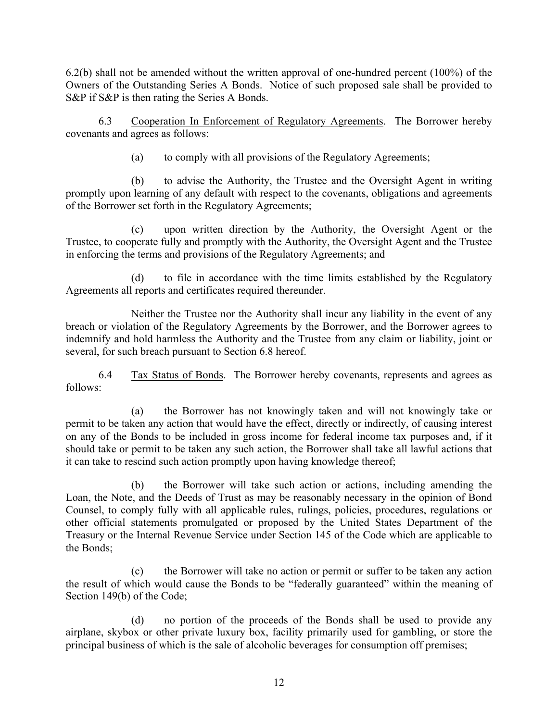6.2(b) shall not be amended without the written approval of one-hundred percent (100%) of the Owners of the Outstanding Series A Bonds. Notice of such proposed sale shall be provided to S&P if S&P is then rating the Series A Bonds.

6.3 Cooperation In Enforcement of Regulatory Agreements. The Borrower hereby covenants and agrees as follows:

(a) to comply with all provisions of the Regulatory Agreements;

(b) to advise the Authority, the Trustee and the Oversight Agent in writing promptly upon learning of any default with respect to the covenants, obligations and agreements of the Borrower set forth in the Regulatory Agreements;

(c) upon written direction by the Authority, the Oversight Agent or the Trustee, to cooperate fully and promptly with the Authority, the Oversight Agent and the Trustee in enforcing the terms and provisions of the Regulatory Agreements; and

(d) to file in accordance with the time limits established by the Regulatory Agreements all reports and certificates required thereunder.

Neither the Trustee nor the Authority shall incur any liability in the event of any breach or violation of the Regulatory Agreements by the Borrower, and the Borrower agrees to indemnify and hold harmless the Authority and the Trustee from any claim or liability, joint or several, for such breach pursuant to Section 6.8 hereof.

6.4 Tax Status of Bonds. The Borrower hereby covenants, represents and agrees as follows:

(a) the Borrower has not knowingly taken and will not knowingly take or permit to be taken any action that would have the effect, directly or indirectly, of causing interest on any of the Bonds to be included in gross income for federal income tax purposes and, if it should take or permit to be taken any such action, the Borrower shall take all lawful actions that it can take to rescind such action promptly upon having knowledge thereof;

(b) the Borrower will take such action or actions, including amending the Loan, the Note, and the Deeds of Trust as may be reasonably necessary in the opinion of Bond Counsel, to comply fully with all applicable rules, rulings, policies, procedures, regulations or other official statements promulgated or proposed by the United States Department of the Treasury or the Internal Revenue Service under Section 145 of the Code which are applicable to the Bonds;

(c) the Borrower will take no action or permit or suffer to be taken any action the result of which would cause the Bonds to be "federally guaranteed" within the meaning of Section 149(b) of the Code;

(d) no portion of the proceeds of the Bonds shall be used to provide any airplane, skybox or other private luxury box, facility primarily used for gambling, or store the principal business of which is the sale of alcoholic beverages for consumption off premises;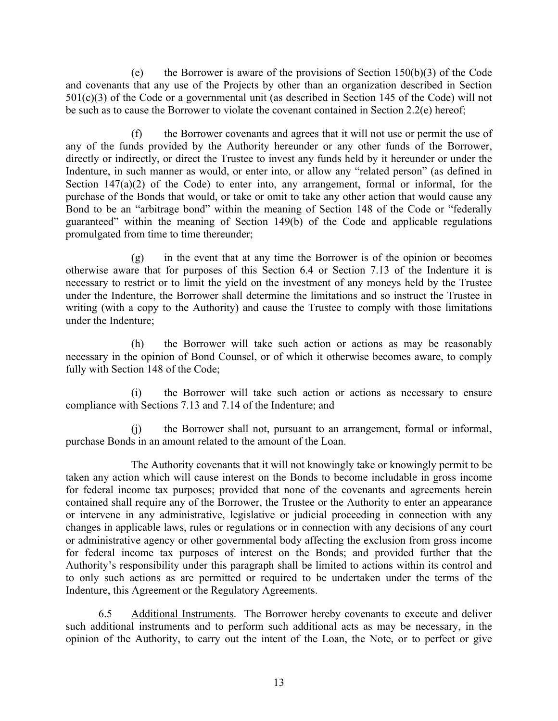(e) the Borrower is aware of the provisions of Section  $150(b)(3)$  of the Code and covenants that any use of the Projects by other than an organization described in Section 501(c)(3) of the Code or a governmental unit (as described in Section 145 of the Code) will not be such as to cause the Borrower to violate the covenant contained in Section 2.2(e) hereof;

(f) the Borrower covenants and agrees that it will not use or permit the use of any of the funds provided by the Authority hereunder or any other funds of the Borrower, directly or indirectly, or direct the Trustee to invest any funds held by it hereunder or under the Indenture, in such manner as would, or enter into, or allow any "related person" (as defined in Section  $147(a)(2)$  of the Code) to enter into, any arrangement, formal or informal, for the purchase of the Bonds that would, or take or omit to take any other action that would cause any Bond to be an "arbitrage bond" within the meaning of Section 148 of the Code or "federally guaranteed" within the meaning of Section 149(b) of the Code and applicable regulations promulgated from time to time thereunder;

(g) in the event that at any time the Borrower is of the opinion or becomes otherwise aware that for purposes of this Section 6.4 or Section 7.13 of the Indenture it is necessary to restrict or to limit the yield on the investment of any moneys held by the Trustee under the Indenture, the Borrower shall determine the limitations and so instruct the Trustee in writing (with a copy to the Authority) and cause the Trustee to comply with those limitations under the Indenture;

(h) the Borrower will take such action or actions as may be reasonably necessary in the opinion of Bond Counsel, or of which it otherwise becomes aware, to comply fully with Section 148 of the Code;

(i) the Borrower will take such action or actions as necessary to ensure compliance with Sections 7.13 and 7.14 of the Indenture; and

(j) the Borrower shall not, pursuant to an arrangement, formal or informal, purchase Bonds in an amount related to the amount of the Loan.

The Authority covenants that it will not knowingly take or knowingly permit to be taken any action which will cause interest on the Bonds to become includable in gross income for federal income tax purposes; provided that none of the covenants and agreements herein contained shall require any of the Borrower, the Trustee or the Authority to enter an appearance or intervene in any administrative, legislative or judicial proceeding in connection with any changes in applicable laws, rules or regulations or in connection with any decisions of any court or administrative agency or other governmental body affecting the exclusion from gross income for federal income tax purposes of interest on the Bonds; and provided further that the Authority's responsibility under this paragraph shall be limited to actions within its control and to only such actions as are permitted or required to be undertaken under the terms of the Indenture, this Agreement or the Regulatory Agreements.

6.5 Additional Instruments. The Borrower hereby covenants to execute and deliver such additional instruments and to perform such additional acts as may be necessary, in the opinion of the Authority, to carry out the intent of the Loan, the Note, or to perfect or give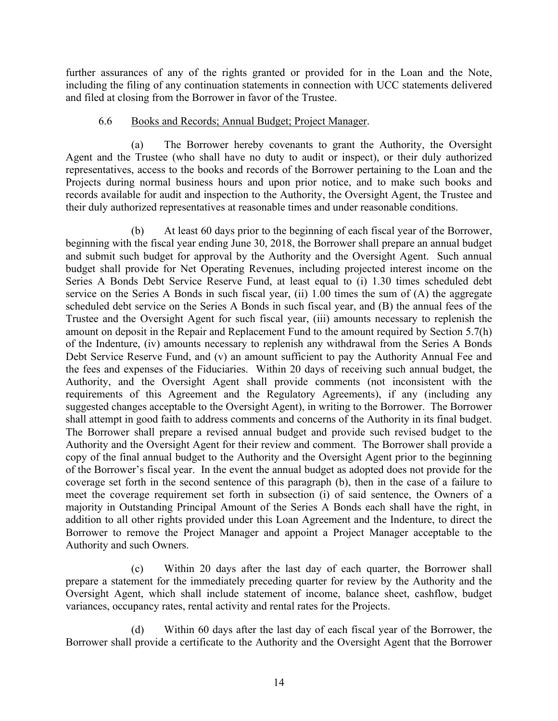further assurances of any of the rights granted or provided for in the Loan and the Note, including the filing of any continuation statements in connection with UCC statements delivered and filed at closing from the Borrower in favor of the Trustee.

#### 6.6 Books and Records; Annual Budget; Project Manager.

(a) The Borrower hereby covenants to grant the Authority, the Oversight Agent and the Trustee (who shall have no duty to audit or inspect), or their duly authorized representatives, access to the books and records of the Borrower pertaining to the Loan and the Projects during normal business hours and upon prior notice, and to make such books and records available for audit and inspection to the Authority, the Oversight Agent, the Trustee and their duly authorized representatives at reasonable times and under reasonable conditions.

(b) At least 60 days prior to the beginning of each fiscal year of the Borrower, beginning with the fiscal year ending June 30, 2018, the Borrower shall prepare an annual budget and submit such budget for approval by the Authority and the Oversight Agent. Such annual budget shall provide for Net Operating Revenues, including projected interest income on the Series A Bonds Debt Service Reserve Fund, at least equal to (i) 1.30 times scheduled debt service on the Series A Bonds in such fiscal year, (ii) 1.00 times the sum of (A) the aggregate scheduled debt service on the Series A Bonds in such fiscal year, and (B) the annual fees of the Trustee and the Oversight Agent for such fiscal year, (iii) amounts necessary to replenish the amount on deposit in the Repair and Replacement Fund to the amount required by Section 5.7(h) of the Indenture, (iv) amounts necessary to replenish any withdrawal from the Series A Bonds Debt Service Reserve Fund, and (v) an amount sufficient to pay the Authority Annual Fee and the fees and expenses of the Fiduciaries. Within 20 days of receiving such annual budget, the Authority, and the Oversight Agent shall provide comments (not inconsistent with the requirements of this Agreement and the Regulatory Agreements), if any (including any suggested changes acceptable to the Oversight Agent), in writing to the Borrower. The Borrower shall attempt in good faith to address comments and concerns of the Authority in its final budget. The Borrower shall prepare a revised annual budget and provide such revised budget to the Authority and the Oversight Agent for their review and comment. The Borrower shall provide a copy of the final annual budget to the Authority and the Oversight Agent prior to the beginning of the Borrower's fiscal year. In the event the annual budget as adopted does not provide for the coverage set forth in the second sentence of this paragraph (b), then in the case of a failure to meet the coverage requirement set forth in subsection (i) of said sentence, the Owners of a majority in Outstanding Principal Amount of the Series A Bonds each shall have the right, in addition to all other rights provided under this Loan Agreement and the Indenture, to direct the Borrower to remove the Project Manager and appoint a Project Manager acceptable to the Authority and such Owners.

(c) Within 20 days after the last day of each quarter, the Borrower shall prepare a statement for the immediately preceding quarter for review by the Authority and the Oversight Agent, which shall include statement of income, balance sheet, cashflow, budget variances, occupancy rates, rental activity and rental rates for the Projects.

(d) Within 60 days after the last day of each fiscal year of the Borrower, the Borrower shall provide a certificate to the Authority and the Oversight Agent that the Borrower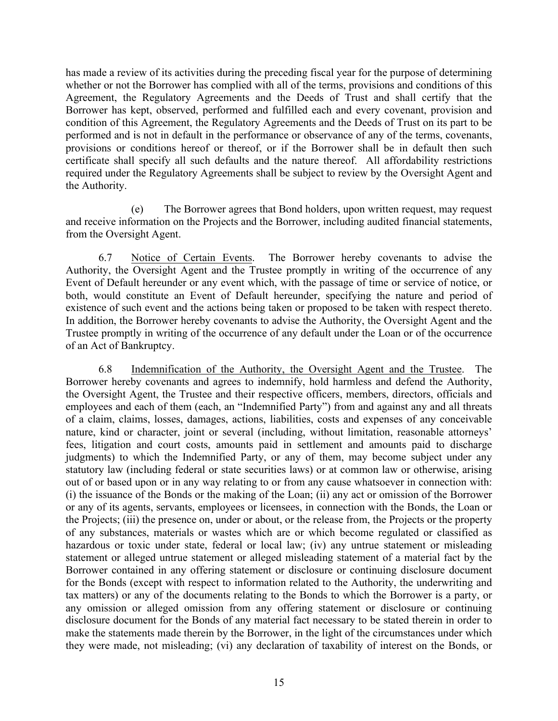has made a review of its activities during the preceding fiscal year for the purpose of determining whether or not the Borrower has complied with all of the terms, provisions and conditions of this Agreement, the Regulatory Agreements and the Deeds of Trust and shall certify that the Borrower has kept, observed, performed and fulfilled each and every covenant, provision and condition of this Agreement, the Regulatory Agreements and the Deeds of Trust on its part to be performed and is not in default in the performance or observance of any of the terms, covenants, provisions or conditions hereof or thereof, or if the Borrower shall be in default then such certificate shall specify all such defaults and the nature thereof. All affordability restrictions required under the Regulatory Agreements shall be subject to review by the Oversight Agent and the Authority.

(e) The Borrower agrees that Bond holders, upon written request, may request and receive information on the Projects and the Borrower, including audited financial statements, from the Oversight Agent.

6.7 Notice of Certain Events. The Borrower hereby covenants to advise the Authority, the Oversight Agent and the Trustee promptly in writing of the occurrence of any Event of Default hereunder or any event which, with the passage of time or service of notice, or both, would constitute an Event of Default hereunder, specifying the nature and period of existence of such event and the actions being taken or proposed to be taken with respect thereto. In addition, the Borrower hereby covenants to advise the Authority, the Oversight Agent and the Trustee promptly in writing of the occurrence of any default under the Loan or of the occurrence of an Act of Bankruptcy.

6.8 Indemnification of the Authority, the Oversight Agent and the Trustee. The Borrower hereby covenants and agrees to indemnify, hold harmless and defend the Authority, the Oversight Agent, the Trustee and their respective officers, members, directors, officials and employees and each of them (each, an "Indemnified Party") from and against any and all threats of a claim, claims, losses, damages, actions, liabilities, costs and expenses of any conceivable nature, kind or character, joint or several (including, without limitation, reasonable attorneys' fees, litigation and court costs, amounts paid in settlement and amounts paid to discharge judgments) to which the Indemnified Party, or any of them, may become subject under any statutory law (including federal or state securities laws) or at common law or otherwise, arising out of or based upon or in any way relating to or from any cause whatsoever in connection with: (i) the issuance of the Bonds or the making of the Loan; (ii) any act or omission of the Borrower or any of its agents, servants, employees or licensees, in connection with the Bonds, the Loan or the Projects; (iii) the presence on, under or about, or the release from, the Projects or the property of any substances, materials or wastes which are or which become regulated or classified as hazardous or toxic under state, federal or local law; (iv) any untrue statement or misleading statement or alleged untrue statement or alleged misleading statement of a material fact by the Borrower contained in any offering statement or disclosure or continuing disclosure document for the Bonds (except with respect to information related to the Authority, the underwriting and tax matters) or any of the documents relating to the Bonds to which the Borrower is a party, or any omission or alleged omission from any offering statement or disclosure or continuing disclosure document for the Bonds of any material fact necessary to be stated therein in order to make the statements made therein by the Borrower, in the light of the circumstances under which they were made, not misleading; (vi) any declaration of taxability of interest on the Bonds, or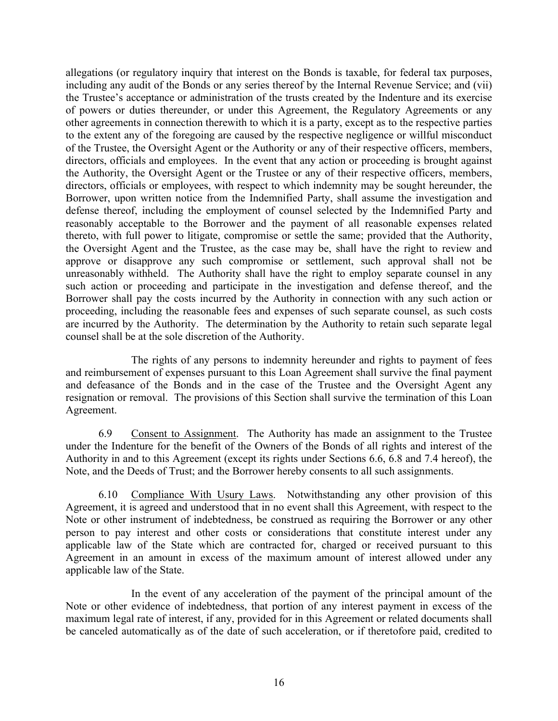allegations (or regulatory inquiry that interest on the Bonds is taxable, for federal tax purposes, including any audit of the Bonds or any series thereof by the Internal Revenue Service; and (vii) the Trustee's acceptance or administration of the trusts created by the Indenture and its exercise of powers or duties thereunder, or under this Agreement, the Regulatory Agreements or any other agreements in connection therewith to which it is a party, except as to the respective parties to the extent any of the foregoing are caused by the respective negligence or willful misconduct of the Trustee, the Oversight Agent or the Authority or any of their respective officers, members, directors, officials and employees. In the event that any action or proceeding is brought against the Authority, the Oversight Agent or the Trustee or any of their respective officers, members, directors, officials or employees, with respect to which indemnity may be sought hereunder, the Borrower, upon written notice from the Indemnified Party, shall assume the investigation and defense thereof, including the employment of counsel selected by the Indemnified Party and reasonably acceptable to the Borrower and the payment of all reasonable expenses related thereto, with full power to litigate, compromise or settle the same; provided that the Authority, the Oversight Agent and the Trustee, as the case may be, shall have the right to review and approve or disapprove any such compromise or settlement, such approval shall not be unreasonably withheld. The Authority shall have the right to employ separate counsel in any such action or proceeding and participate in the investigation and defense thereof, and the Borrower shall pay the costs incurred by the Authority in connection with any such action or proceeding, including the reasonable fees and expenses of such separate counsel, as such costs are incurred by the Authority. The determination by the Authority to retain such separate legal counsel shall be at the sole discretion of the Authority.

The rights of any persons to indemnity hereunder and rights to payment of fees and reimbursement of expenses pursuant to this Loan Agreement shall survive the final payment and defeasance of the Bonds and in the case of the Trustee and the Oversight Agent any resignation or removal. The provisions of this Section shall survive the termination of this Loan Agreement.

6.9 Consent to Assignment. The Authority has made an assignment to the Trustee under the Indenture for the benefit of the Owners of the Bonds of all rights and interest of the Authority in and to this Agreement (except its rights under Sections 6.6, 6.8 and 7.4 hereof), the Note, and the Deeds of Trust; and the Borrower hereby consents to all such assignments.

6.10 Compliance With Usury Laws. Notwithstanding any other provision of this Agreement, it is agreed and understood that in no event shall this Agreement, with respect to the Note or other instrument of indebtedness, be construed as requiring the Borrower or any other person to pay interest and other costs or considerations that constitute interest under any applicable law of the State which are contracted for, charged or received pursuant to this Agreement in an amount in excess of the maximum amount of interest allowed under any applicable law of the State.

In the event of any acceleration of the payment of the principal amount of the Note or other evidence of indebtedness, that portion of any interest payment in excess of the maximum legal rate of interest, if any, provided for in this Agreement or related documents shall be canceled automatically as of the date of such acceleration, or if theretofore paid, credited to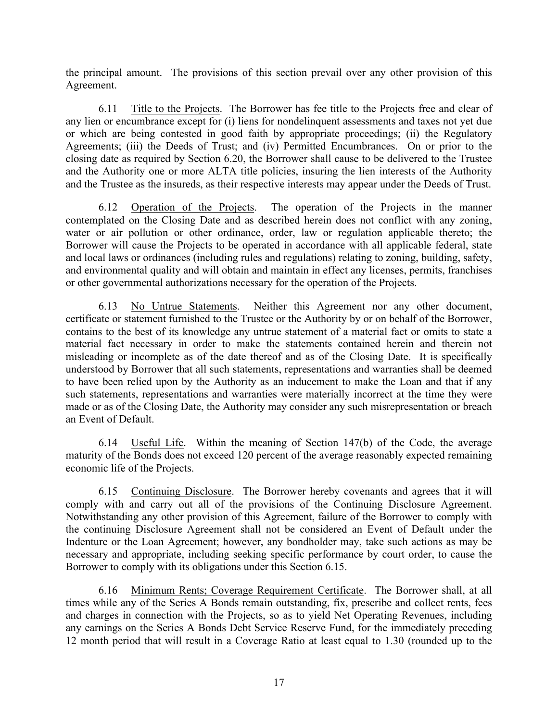the principal amount. The provisions of this section prevail over any other provision of this Agreement.

6.11 Title to the Projects. The Borrower has fee title to the Projects free and clear of any lien or encumbrance except for (i) liens for nondelinquent assessments and taxes not yet due or which are being contested in good faith by appropriate proceedings; (ii) the Regulatory Agreements; (iii) the Deeds of Trust; and (iv) Permitted Encumbrances. On or prior to the closing date as required by Section 6.20, the Borrower shall cause to be delivered to the Trustee and the Authority one or more ALTA title policies, insuring the lien interests of the Authority and the Trustee as the insureds, as their respective interests may appear under the Deeds of Trust.

6.12 Operation of the Projects. The operation of the Projects in the manner contemplated on the Closing Date and as described herein does not conflict with any zoning, water or air pollution or other ordinance, order, law or regulation applicable thereto; the Borrower will cause the Projects to be operated in accordance with all applicable federal, state and local laws or ordinances (including rules and regulations) relating to zoning, building, safety, and environmental quality and will obtain and maintain in effect any licenses, permits, franchises or other governmental authorizations necessary for the operation of the Projects.

6.13 No Untrue Statements. Neither this Agreement nor any other document, certificate or statement furnished to the Trustee or the Authority by or on behalf of the Borrower, contains to the best of its knowledge any untrue statement of a material fact or omits to state a material fact necessary in order to make the statements contained herein and therein not misleading or incomplete as of the date thereof and as of the Closing Date. It is specifically understood by Borrower that all such statements, representations and warranties shall be deemed to have been relied upon by the Authority as an inducement to make the Loan and that if any such statements, representations and warranties were materially incorrect at the time they were made or as of the Closing Date, the Authority may consider any such misrepresentation or breach an Event of Default.

6.14 Useful Life. Within the meaning of Section 147(b) of the Code, the average maturity of the Bonds does not exceed 120 percent of the average reasonably expected remaining economic life of the Projects.

6.15 Continuing Disclosure. The Borrower hereby covenants and agrees that it will comply with and carry out all of the provisions of the Continuing Disclosure Agreement. Notwithstanding any other provision of this Agreement, failure of the Borrower to comply with the continuing Disclosure Agreement shall not be considered an Event of Default under the Indenture or the Loan Agreement; however, any bondholder may, take such actions as may be necessary and appropriate, including seeking specific performance by court order, to cause the Borrower to comply with its obligations under this Section 6.15.

6.16 Minimum Rents; Coverage Requirement Certificate. The Borrower shall, at all times while any of the Series A Bonds remain outstanding, fix, prescribe and collect rents, fees and charges in connection with the Projects, so as to yield Net Operating Revenues, including any earnings on the Series A Bonds Debt Service Reserve Fund, for the immediately preceding 12 month period that will result in a Coverage Ratio at least equal to 1.30 (rounded up to the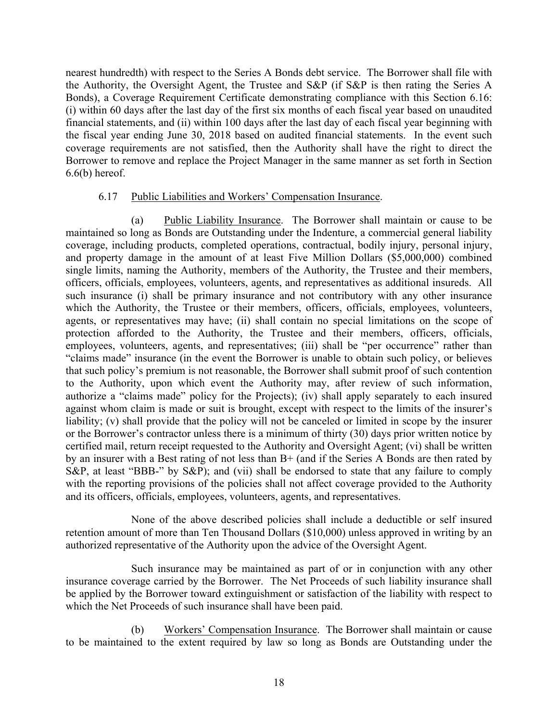nearest hundredth) with respect to the Series A Bonds debt service. The Borrower shall file with the Authority, the Oversight Agent, the Trustee and S&P (if S&P is then rating the Series A Bonds), a Coverage Requirement Certificate demonstrating compliance with this Section 6.16: (i) within 60 days after the last day of the first six months of each fiscal year based on unaudited financial statements, and (ii) within 100 days after the last day of each fiscal year beginning with the fiscal year ending June 30, 2018 based on audited financial statements. In the event such coverage requirements are not satisfied, then the Authority shall have the right to direct the Borrower to remove and replace the Project Manager in the same manner as set forth in Section  $6.6(b)$  hereof.

## 6.17 Public Liabilities and Workers' Compensation Insurance.

(a) Public Liability Insurance. The Borrower shall maintain or cause to be maintained so long as Bonds are Outstanding under the Indenture, a commercial general liability coverage, including products, completed operations, contractual, bodily injury, personal injury, and property damage in the amount of at least Five Million Dollars (\$5,000,000) combined single limits, naming the Authority, members of the Authority, the Trustee and their members, officers, officials, employees, volunteers, agents, and representatives as additional insureds. All such insurance (i) shall be primary insurance and not contributory with any other insurance which the Authority, the Trustee or their members, officers, officials, employees, volunteers, agents, or representatives may have; (ii) shall contain no special limitations on the scope of protection afforded to the Authority, the Trustee and their members, officers, officials, employees, volunteers, agents, and representatives; (iii) shall be "per occurrence" rather than "claims made" insurance (in the event the Borrower is unable to obtain such policy, or believes that such policy's premium is not reasonable, the Borrower shall submit proof of such contention to the Authority, upon which event the Authority may, after review of such information, authorize a "claims made" policy for the Projects); (iv) shall apply separately to each insured against whom claim is made or suit is brought, except with respect to the limits of the insurer's liability; (v) shall provide that the policy will not be canceled or limited in scope by the insurer or the Borrower's contractor unless there is a minimum of thirty (30) days prior written notice by certified mail, return receipt requested to the Authority and Oversight Agent; (vi) shall be written by an insurer with a Best rating of not less than B+ (and if the Series A Bonds are then rated by S&P, at least "BBB-" by S&P); and (vii) shall be endorsed to state that any failure to comply with the reporting provisions of the policies shall not affect coverage provided to the Authority and its officers, officials, employees, volunteers, agents, and representatives.

None of the above described policies shall include a deductible or self insured retention amount of more than Ten Thousand Dollars (\$10,000) unless approved in writing by an authorized representative of the Authority upon the advice of the Oversight Agent.

Such insurance may be maintained as part of or in conjunction with any other insurance coverage carried by the Borrower. The Net Proceeds of such liability insurance shall be applied by the Borrower toward extinguishment or satisfaction of the liability with respect to which the Net Proceeds of such insurance shall have been paid.

Workers' Compensation Insurance. The Borrower shall maintain or cause to be maintained to the extent required by law so long as Bonds are Outstanding under the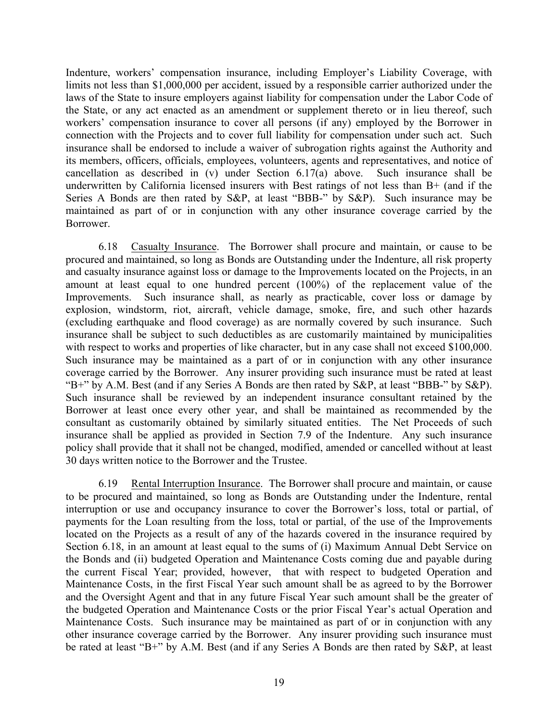Indenture, workers' compensation insurance, including Employer's Liability Coverage, with limits not less than \$1,000,000 per accident, issued by a responsible carrier authorized under the laws of the State to insure employers against liability for compensation under the Labor Code of the State, or any act enacted as an amendment or supplement thereto or in lieu thereof, such workers' compensation insurance to cover all persons (if any) employed by the Borrower in connection with the Projects and to cover full liability for compensation under such act. Such insurance shall be endorsed to include a waiver of subrogation rights against the Authority and its members, officers, officials, employees, volunteers, agents and representatives, and notice of cancellation as described in (v) under Section 6.17(a) above. Such insurance shall be underwritten by California licensed insurers with Best ratings of not less than B+ (and if the Series A Bonds are then rated by S&P, at least "BBB-" by S&P). Such insurance may be maintained as part of or in conjunction with any other insurance coverage carried by the Borrower.

6.18 Casualty Insurance. The Borrower shall procure and maintain, or cause to be procured and maintained, so long as Bonds are Outstanding under the Indenture, all risk property and casualty insurance against loss or damage to the Improvements located on the Projects, in an amount at least equal to one hundred percent (100%) of the replacement value of the Improvements. Such insurance shall, as nearly as practicable, cover loss or damage by explosion, windstorm, riot, aircraft, vehicle damage, smoke, fire, and such other hazards (excluding earthquake and flood coverage) as are normally covered by such insurance. Such insurance shall be subject to such deductibles as are customarily maintained by municipalities with respect to works and properties of like character, but in any case shall not exceed \$100,000. Such insurance may be maintained as a part of or in conjunction with any other insurance coverage carried by the Borrower. Any insurer providing such insurance must be rated at least "B+" by A.M. Best (and if any Series A Bonds are then rated by S&P, at least "BBB-" by S&P). Such insurance shall be reviewed by an independent insurance consultant retained by the Borrower at least once every other year, and shall be maintained as recommended by the consultant as customarily obtained by similarly situated entities. The Net Proceeds of such insurance shall be applied as provided in Section 7.9 of the Indenture. Any such insurance policy shall provide that it shall not be changed, modified, amended or cancelled without at least 30 days written notice to the Borrower and the Trustee.

6.19 Rental Interruption Insurance. The Borrower shall procure and maintain, or cause to be procured and maintained, so long as Bonds are Outstanding under the Indenture, rental interruption or use and occupancy insurance to cover the Borrower's loss, total or partial, of payments for the Loan resulting from the loss, total or partial, of the use of the Improvements located on the Projects as a result of any of the hazards covered in the insurance required by Section 6.18, in an amount at least equal to the sums of (i) Maximum Annual Debt Service on the Bonds and (ii) budgeted Operation and Maintenance Costs coming due and payable during the current Fiscal Year; provided, however, that with respect to budgeted Operation and Maintenance Costs, in the first Fiscal Year such amount shall be as agreed to by the Borrower and the Oversight Agent and that in any future Fiscal Year such amount shall be the greater of the budgeted Operation and Maintenance Costs or the prior Fiscal Year's actual Operation and Maintenance Costs. Such insurance may be maintained as part of or in conjunction with any other insurance coverage carried by the Borrower. Any insurer providing such insurance must be rated at least "B+" by A.M. Best (and if any Series A Bonds are then rated by S&P, at least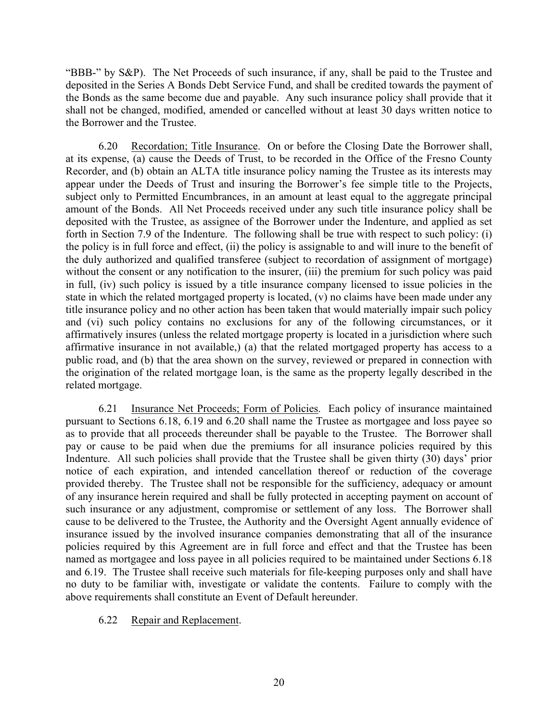"BBB-" by S&P). The Net Proceeds of such insurance, if any, shall be paid to the Trustee and deposited in the Series A Bonds Debt Service Fund, and shall be credited towards the payment of the Bonds as the same become due and payable. Any such insurance policy shall provide that it shall not be changed, modified, amended or cancelled without at least 30 days written notice to the Borrower and the Trustee.

6.20 Recordation; Title Insurance. On or before the Closing Date the Borrower shall, at its expense, (a) cause the Deeds of Trust, to be recorded in the Office of the Fresno County Recorder, and (b) obtain an ALTA title insurance policy naming the Trustee as its interests may appear under the Deeds of Trust and insuring the Borrower's fee simple title to the Projects, subject only to Permitted Encumbrances, in an amount at least equal to the aggregate principal amount of the Bonds. All Net Proceeds received under any such title insurance policy shall be deposited with the Trustee, as assignee of the Borrower under the Indenture, and applied as set forth in Section 7.9 of the Indenture. The following shall be true with respect to such policy: (i) the policy is in full force and effect, (ii) the policy is assignable to and will inure to the benefit of the duly authorized and qualified transferee (subject to recordation of assignment of mortgage) without the consent or any notification to the insurer, (iii) the premium for such policy was paid in full, (iv) such policy is issued by a title insurance company licensed to issue policies in the state in which the related mortgaged property is located, (v) no claims have been made under any title insurance policy and no other action has been taken that would materially impair such policy and (vi) such policy contains no exclusions for any of the following circumstances, or it affirmatively insures (unless the related mortgage property is located in a jurisdiction where such affirmative insurance in not available,) (a) that the related mortgaged property has access to a public road, and (b) that the area shown on the survey, reviewed or prepared in connection with the origination of the related mortgage loan, is the same as the property legally described in the related mortgage.

6.21 Insurance Net Proceeds; Form of Policies. Each policy of insurance maintained pursuant to Sections 6.18, 6.19 and 6.20 shall name the Trustee as mortgagee and loss payee so as to provide that all proceeds thereunder shall be payable to the Trustee. The Borrower shall pay or cause to be paid when due the premiums for all insurance policies required by this Indenture. All such policies shall provide that the Trustee shall be given thirty (30) days' prior notice of each expiration, and intended cancellation thereof or reduction of the coverage provided thereby. The Trustee shall not be responsible for the sufficiency, adequacy or amount of any insurance herein required and shall be fully protected in accepting payment on account of such insurance or any adjustment, compromise or settlement of any loss. The Borrower shall cause to be delivered to the Trustee, the Authority and the Oversight Agent annually evidence of insurance issued by the involved insurance companies demonstrating that all of the insurance policies required by this Agreement are in full force and effect and that the Trustee has been named as mortgagee and loss payee in all policies required to be maintained under Sections 6.18 and 6.19. The Trustee shall receive such materials for file-keeping purposes only and shall have no duty to be familiar with, investigate or validate the contents. Failure to comply with the above requirements shall constitute an Event of Default hereunder.

## 6.22 Repair and Replacement.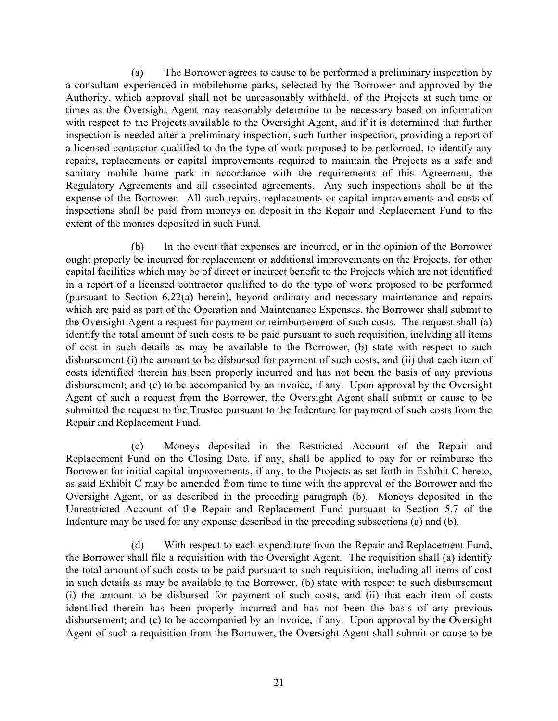(a) The Borrower agrees to cause to be performed a preliminary inspection by a consultant experienced in mobilehome parks, selected by the Borrower and approved by the Authority, which approval shall not be unreasonably withheld, of the Projects at such time or times as the Oversight Agent may reasonably determine to be necessary based on information with respect to the Projects available to the Oversight Agent, and if it is determined that further inspection is needed after a preliminary inspection, such further inspection, providing a report of a licensed contractor qualified to do the type of work proposed to be performed, to identify any repairs, replacements or capital improvements required to maintain the Projects as a safe and sanitary mobile home park in accordance with the requirements of this Agreement, the Regulatory Agreements and all associated agreements. Any such inspections shall be at the expense of the Borrower. All such repairs, replacements or capital improvements and costs of inspections shall be paid from moneys on deposit in the Repair and Replacement Fund to the extent of the monies deposited in such Fund.

(b) In the event that expenses are incurred, or in the opinion of the Borrower ought properly be incurred for replacement or additional improvements on the Projects, for other capital facilities which may be of direct or indirect benefit to the Projects which are not identified in a report of a licensed contractor qualified to do the type of work proposed to be performed (pursuant to Section 6.22(a) herein), beyond ordinary and necessary maintenance and repairs which are paid as part of the Operation and Maintenance Expenses, the Borrower shall submit to the Oversight Agent a request for payment or reimbursement of such costs. The request shall (a) identify the total amount of such costs to be paid pursuant to such requisition, including all items of cost in such details as may be available to the Borrower, (b) state with respect to such disbursement (i) the amount to be disbursed for payment of such costs, and (ii) that each item of costs identified therein has been properly incurred and has not been the basis of any previous disbursement; and (c) to be accompanied by an invoice, if any. Upon approval by the Oversight Agent of such a request from the Borrower, the Oversight Agent shall submit or cause to be submitted the request to the Trustee pursuant to the Indenture for payment of such costs from the Repair and Replacement Fund.

(c) Moneys deposited in the Restricted Account of the Repair and Replacement Fund on the Closing Date, if any, shall be applied to pay for or reimburse the Borrower for initial capital improvements, if any, to the Projects as set forth in Exhibit C hereto, as said Exhibit C may be amended from time to time with the approval of the Borrower and the Oversight Agent, or as described in the preceding paragraph (b). Moneys deposited in the Unrestricted Account of the Repair and Replacement Fund pursuant to Section 5.7 of the Indenture may be used for any expense described in the preceding subsections (a) and (b).

(d) With respect to each expenditure from the Repair and Replacement Fund, the Borrower shall file a requisition with the Oversight Agent. The requisition shall (a) identify the total amount of such costs to be paid pursuant to such requisition, including all items of cost in such details as may be available to the Borrower, (b) state with respect to such disbursement (i) the amount to be disbursed for payment of such costs, and (ii) that each item of costs identified therein has been properly incurred and has not been the basis of any previous disbursement; and (c) to be accompanied by an invoice, if any. Upon approval by the Oversight Agent of such a requisition from the Borrower, the Oversight Agent shall submit or cause to be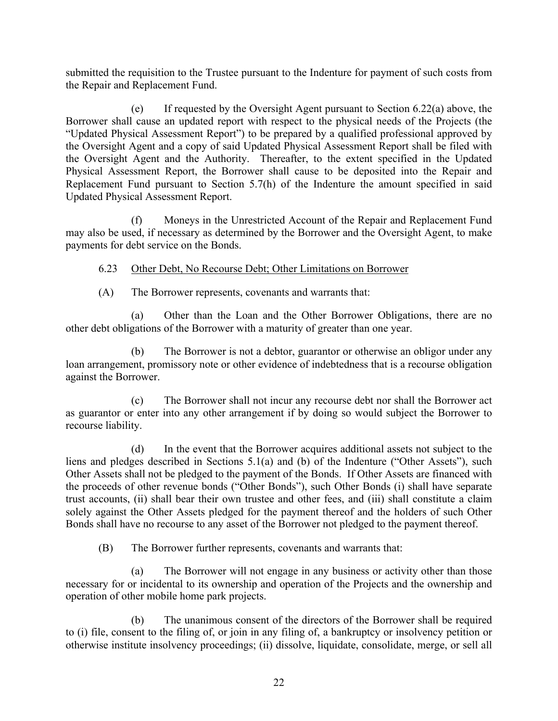submitted the requisition to the Trustee pursuant to the Indenture for payment of such costs from the Repair and Replacement Fund.

(e) If requested by the Oversight Agent pursuant to Section 6.22(a) above, the Borrower shall cause an updated report with respect to the physical needs of the Projects (the "Updated Physical Assessment Report") to be prepared by a qualified professional approved by the Oversight Agent and a copy of said Updated Physical Assessment Report shall be filed with the Oversight Agent and the Authority. Thereafter, to the extent specified in the Updated Physical Assessment Report, the Borrower shall cause to be deposited into the Repair and Replacement Fund pursuant to Section 5.7(h) of the Indenture the amount specified in said Updated Physical Assessment Report.

(f) Moneys in the Unrestricted Account of the Repair and Replacement Fund may also be used, if necessary as determined by the Borrower and the Oversight Agent, to make payments for debt service on the Bonds.

6.23 Other Debt, No Recourse Debt; Other Limitations on Borrower

(A) The Borrower represents, covenants and warrants that:

(a) Other than the Loan and the Other Borrower Obligations, there are no other debt obligations of the Borrower with a maturity of greater than one year.

(b) The Borrower is not a debtor, guarantor or otherwise an obligor under any loan arrangement, promissory note or other evidence of indebtedness that is a recourse obligation against the Borrower.

(c) The Borrower shall not incur any recourse debt nor shall the Borrower act as guarantor or enter into any other arrangement if by doing so would subject the Borrower to recourse liability.

(d) In the event that the Borrower acquires additional assets not subject to the liens and pledges described in Sections 5.1(a) and (b) of the Indenture ("Other Assets"), such Other Assets shall not be pledged to the payment of the Bonds. If Other Assets are financed with the proceeds of other revenue bonds ("Other Bonds"), such Other Bonds (i) shall have separate trust accounts, (ii) shall bear their own trustee and other fees, and (iii) shall constitute a claim solely against the Other Assets pledged for the payment thereof and the holders of such Other Bonds shall have no recourse to any asset of the Borrower not pledged to the payment thereof.

(B) The Borrower further represents, covenants and warrants that:

(a) The Borrower will not engage in any business or activity other than those necessary for or incidental to its ownership and operation of the Projects and the ownership and operation of other mobile home park projects.

(b) The unanimous consent of the directors of the Borrower shall be required to (i) file, consent to the filing of, or join in any filing of, a bankruptcy or insolvency petition or otherwise institute insolvency proceedings; (ii) dissolve, liquidate, consolidate, merge, or sell all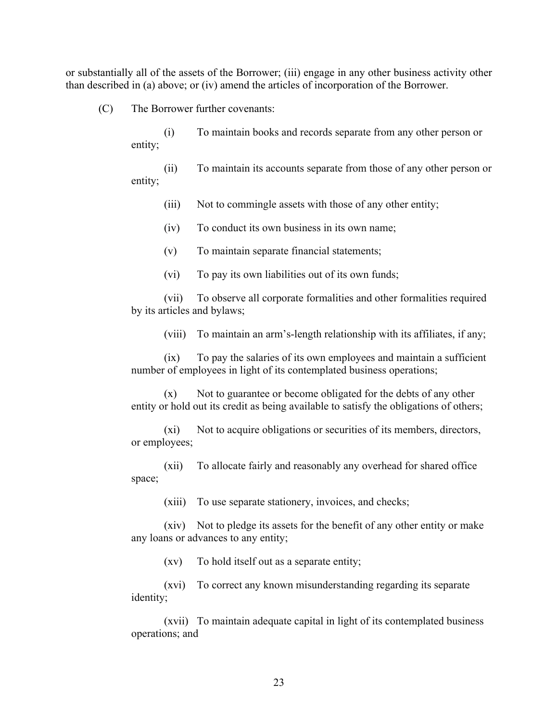or substantially all of the assets of the Borrower; (iii) engage in any other business activity other than described in (a) above; or (iv) amend the articles of incorporation of the Borrower.

(C) The Borrower further covenants:

(i) To maintain books and records separate from any other person or entity;

(ii) To maintain its accounts separate from those of any other person or entity;

(iii) Not to commingle assets with those of any other entity;

(iv) To conduct its own business in its own name;

(v) To maintain separate financial statements;

(vi) To pay its own liabilities out of its own funds;

(vii) To observe all corporate formalities and other formalities required by its articles and bylaws;

(viii) To maintain an arm's-length relationship with its affiliates, if any;

(ix) To pay the salaries of its own employees and maintain a sufficient number of employees in light of its contemplated business operations;

 $(x)$  Not to guarantee or become obligated for the debts of any other entity or hold out its credit as being available to satisfy the obligations of others;

(xi) Not to acquire obligations or securities of its members, directors, or employees;

(xii) To allocate fairly and reasonably any overhead for shared office space;

(xiii) To use separate stationery, invoices, and checks;

(xiv) Not to pledge its assets for the benefit of any other entity or make any loans or advances to any entity;

(xv) To hold itself out as a separate entity;

(xvi) To correct any known misunderstanding regarding its separate identity;

(xvii) To maintain adequate capital in light of its contemplated business operations; and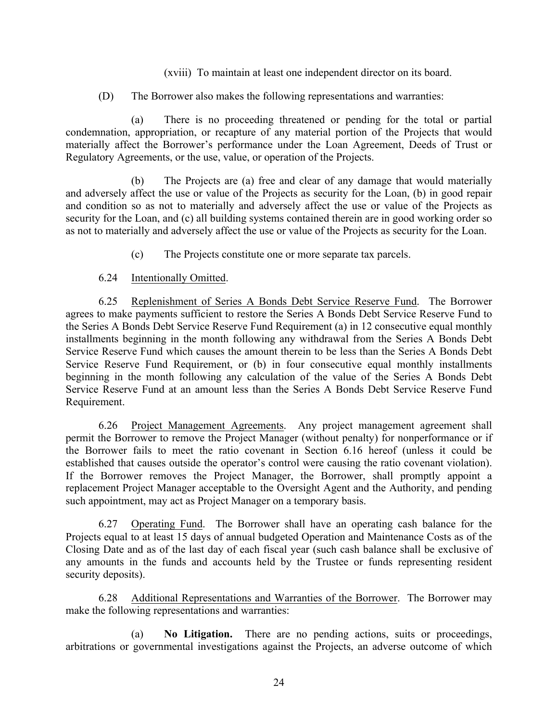(xviii) To maintain at least one independent director on its board.

(D) The Borrower also makes the following representations and warranties:

(a) There is no proceeding threatened or pending for the total or partial condemnation, appropriation, or recapture of any material portion of the Projects that would materially affect the Borrower's performance under the Loan Agreement, Deeds of Trust or Regulatory Agreements, or the use, value, or operation of the Projects.

(b) The Projects are (a) free and clear of any damage that would materially and adversely affect the use or value of the Projects as security for the Loan, (b) in good repair and condition so as not to materially and adversely affect the use or value of the Projects as security for the Loan, and (c) all building systems contained therein are in good working order so as not to materially and adversely affect the use or value of the Projects as security for the Loan.

(c) The Projects constitute one or more separate tax parcels.

## 6.24 Intentionally Omitted.

6.25 Replenishment of Series A Bonds Debt Service Reserve Fund. The Borrower agrees to make payments sufficient to restore the Series A Bonds Debt Service Reserve Fund to the Series A Bonds Debt Service Reserve Fund Requirement (a) in 12 consecutive equal monthly installments beginning in the month following any withdrawal from the Series A Bonds Debt Service Reserve Fund which causes the amount therein to be less than the Series A Bonds Debt Service Reserve Fund Requirement, or (b) in four consecutive equal monthly installments beginning in the month following any calculation of the value of the Series A Bonds Debt Service Reserve Fund at an amount less than the Series A Bonds Debt Service Reserve Fund Requirement.

6.26 Project Management Agreements. Any project management agreement shall permit the Borrower to remove the Project Manager (without penalty) for nonperformance or if the Borrower fails to meet the ratio covenant in Section 6.16 hereof (unless it could be established that causes outside the operator's control were causing the ratio covenant violation). If the Borrower removes the Project Manager, the Borrower, shall promptly appoint a replacement Project Manager acceptable to the Oversight Agent and the Authority, and pending such appointment, may act as Project Manager on a temporary basis.

6.27 Operating Fund. The Borrower shall have an operating cash balance for the Projects equal to at least 15 days of annual budgeted Operation and Maintenance Costs as of the Closing Date and as of the last day of each fiscal year (such cash balance shall be exclusive of any amounts in the funds and accounts held by the Trustee or funds representing resident security deposits).

6.28 Additional Representations and Warranties of the Borrower. The Borrower may make the following representations and warranties:

(a) **No Litigation.** There are no pending actions, suits or proceedings, arbitrations or governmental investigations against the Projects, an adverse outcome of which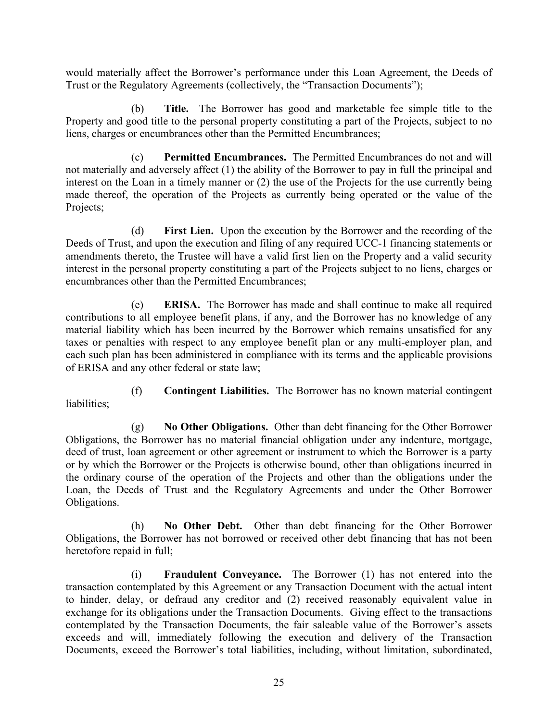would materially affect the Borrower's performance under this Loan Agreement, the Deeds of Trust or the Regulatory Agreements (collectively, the "Transaction Documents");

(b) **Title.** The Borrower has good and marketable fee simple title to the Property and good title to the personal property constituting a part of the Projects, subject to no liens, charges or encumbrances other than the Permitted Encumbrances;

(c) **Permitted Encumbrances.** The Permitted Encumbrances do not and will not materially and adversely affect (1) the ability of the Borrower to pay in full the principal and interest on the Loan in a timely manner or (2) the use of the Projects for the use currently being made thereof, the operation of the Projects as currently being operated or the value of the Projects;

(d) **First Lien.** Upon the execution by the Borrower and the recording of the Deeds of Trust, and upon the execution and filing of any required UCC-1 financing statements or amendments thereto, the Trustee will have a valid first lien on the Property and a valid security interest in the personal property constituting a part of the Projects subject to no liens, charges or encumbrances other than the Permitted Encumbrances;

(e) **ERISA.** The Borrower has made and shall continue to make all required contributions to all employee benefit plans, if any, and the Borrower has no knowledge of any material liability which has been incurred by the Borrower which remains unsatisfied for any taxes or penalties with respect to any employee benefit plan or any multi-employer plan, and each such plan has been administered in compliance with its terms and the applicable provisions of ERISA and any other federal or state law;

(f) **Contingent Liabilities.** The Borrower has no known material contingent liabilities;

(g) **No Other Obligations.** Other than debt financing for the Other Borrower Obligations, the Borrower has no material financial obligation under any indenture, mortgage, deed of trust, loan agreement or other agreement or instrument to which the Borrower is a party or by which the Borrower or the Projects is otherwise bound, other than obligations incurred in the ordinary course of the operation of the Projects and other than the obligations under the Loan, the Deeds of Trust and the Regulatory Agreements and under the Other Borrower Obligations.

(h) **No Other Debt.** Other than debt financing for the Other Borrower Obligations, the Borrower has not borrowed or received other debt financing that has not been heretofore repaid in full;

(i) **Fraudulent Conveyance.** The Borrower (1) has not entered into the transaction contemplated by this Agreement or any Transaction Document with the actual intent to hinder, delay, or defraud any creditor and (2) received reasonably equivalent value in exchange for its obligations under the Transaction Documents. Giving effect to the transactions contemplated by the Transaction Documents, the fair saleable value of the Borrower's assets exceeds and will, immediately following the execution and delivery of the Transaction Documents, exceed the Borrower's total liabilities, including, without limitation, subordinated,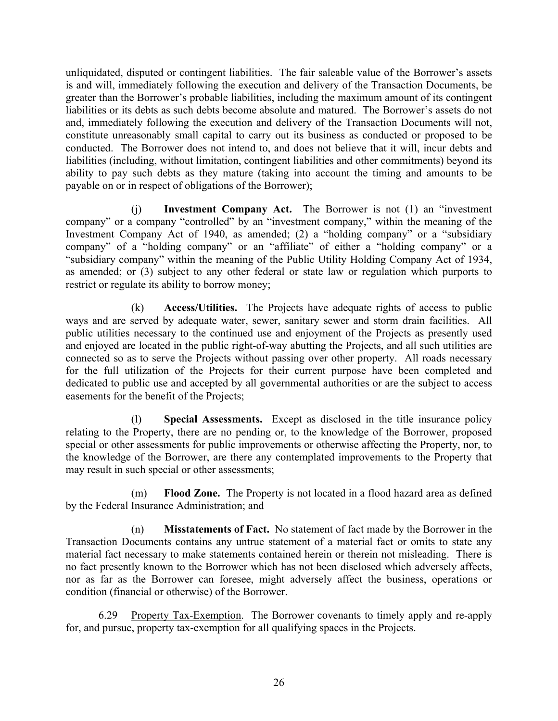unliquidated, disputed or contingent liabilities. The fair saleable value of the Borrower's assets is and will, immediately following the execution and delivery of the Transaction Documents, be greater than the Borrower's probable liabilities, including the maximum amount of its contingent liabilities or its debts as such debts become absolute and matured. The Borrower's assets do not and, immediately following the execution and delivery of the Transaction Documents will not, constitute unreasonably small capital to carry out its business as conducted or proposed to be conducted. The Borrower does not intend to, and does not believe that it will, incur debts and liabilities (including, without limitation, contingent liabilities and other commitments) beyond its ability to pay such debts as they mature (taking into account the timing and amounts to be payable on or in respect of obligations of the Borrower);

(j) **Investment Company Act.** The Borrower is not (1) an "investment company" or a company "controlled" by an "investment company," within the meaning of the Investment Company Act of 1940, as amended; (2) a "holding company" or a "subsidiary company" of a "holding company" or an "affiliate" of either a "holding company" or a "subsidiary company" within the meaning of the Public Utility Holding Company Act of 1934, as amended; or (3) subject to any other federal or state law or regulation which purports to restrict or regulate its ability to borrow money;

(k) **Access/Utilities.** The Projects have adequate rights of access to public ways and are served by adequate water, sewer, sanitary sewer and storm drain facilities. All public utilities necessary to the continued use and enjoyment of the Projects as presently used and enjoyed are located in the public right-of-way abutting the Projects, and all such utilities are connected so as to serve the Projects without passing over other property. All roads necessary for the full utilization of the Projects for their current purpose have been completed and dedicated to public use and accepted by all governmental authorities or are the subject to access easements for the benefit of the Projects;

(l) **Special Assessments.** Except as disclosed in the title insurance policy relating to the Property, there are no pending or, to the knowledge of the Borrower, proposed special or other assessments for public improvements or otherwise affecting the Property, nor, to the knowledge of the Borrower, are there any contemplated improvements to the Property that may result in such special or other assessments;

(m) **Flood Zone.** The Property is not located in a flood hazard area as defined by the Federal Insurance Administration; and

(n) **Misstatements of Fact.** No statement of fact made by the Borrower in the Transaction Documents contains any untrue statement of a material fact or omits to state any material fact necessary to make statements contained herein or therein not misleading. There is no fact presently known to the Borrower which has not been disclosed which adversely affects, nor as far as the Borrower can foresee, might adversely affect the business, operations or condition (financial or otherwise) of the Borrower.

6.29 Property Tax-Exemption. The Borrower covenants to timely apply and re-apply for, and pursue, property tax-exemption for all qualifying spaces in the Projects.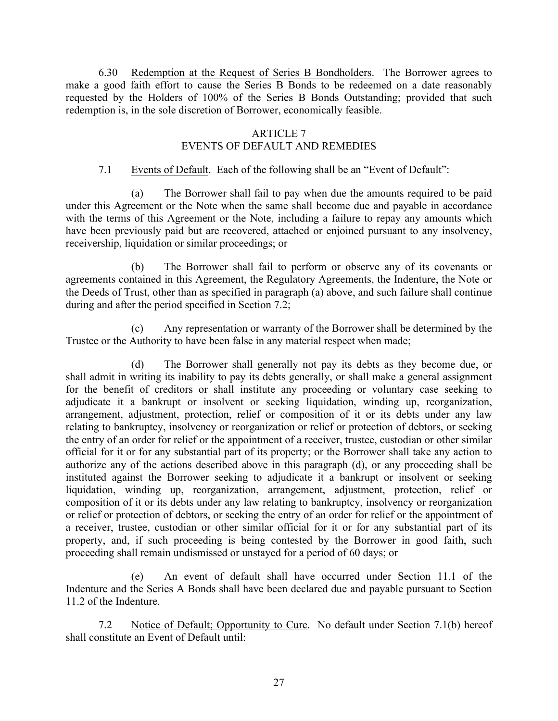6.30 Redemption at the Request of Series B Bondholders. The Borrower agrees to make a good faith effort to cause the Series B Bonds to be redeemed on a date reasonably requested by the Holders of 100% of the Series B Bonds Outstanding; provided that such redemption is, in the sole discretion of Borrower, economically feasible.

## ARTICLE 7 EVENTS OF DEFAULT AND REMEDIES

## 7.1 Events of Default. Each of the following shall be an "Event of Default":

(a) The Borrower shall fail to pay when due the amounts required to be paid under this Agreement or the Note when the same shall become due and payable in accordance with the terms of this Agreement or the Note, including a failure to repay any amounts which have been previously paid but are recovered, attached or enjoined pursuant to any insolvency, receivership, liquidation or similar proceedings; or

(b) The Borrower shall fail to perform or observe any of its covenants or agreements contained in this Agreement, the Regulatory Agreements, the Indenture, the Note or the Deeds of Trust, other than as specified in paragraph (a) above, and such failure shall continue during and after the period specified in Section 7.2;

(c) Any representation or warranty of the Borrower shall be determined by the Trustee or the Authority to have been false in any material respect when made;

(d) The Borrower shall generally not pay its debts as they become due, or shall admit in writing its inability to pay its debts generally, or shall make a general assignment for the benefit of creditors or shall institute any proceeding or voluntary case seeking to adjudicate it a bankrupt or insolvent or seeking liquidation, winding up, reorganization, arrangement, adjustment, protection, relief or composition of it or its debts under any law relating to bankruptcy, insolvency or reorganization or relief or protection of debtors, or seeking the entry of an order for relief or the appointment of a receiver, trustee, custodian or other similar official for it or for any substantial part of its property; or the Borrower shall take any action to authorize any of the actions described above in this paragraph (d), or any proceeding shall be instituted against the Borrower seeking to adjudicate it a bankrupt or insolvent or seeking liquidation, winding up, reorganization, arrangement, adjustment, protection, relief or composition of it or its debts under any law relating to bankruptcy, insolvency or reorganization or relief or protection of debtors, or seeking the entry of an order for relief or the appointment of a receiver, trustee, custodian or other similar official for it or for any substantial part of its property, and, if such proceeding is being contested by the Borrower in good faith, such proceeding shall remain undismissed or unstayed for a period of 60 days; or

(e) An event of default shall have occurred under Section 11.1 of the Indenture and the Series A Bonds shall have been declared due and payable pursuant to Section 11.2 of the Indenture.

7.2 Notice of Default; Opportunity to Cure. No default under Section 7.1(b) hereof shall constitute an Event of Default until: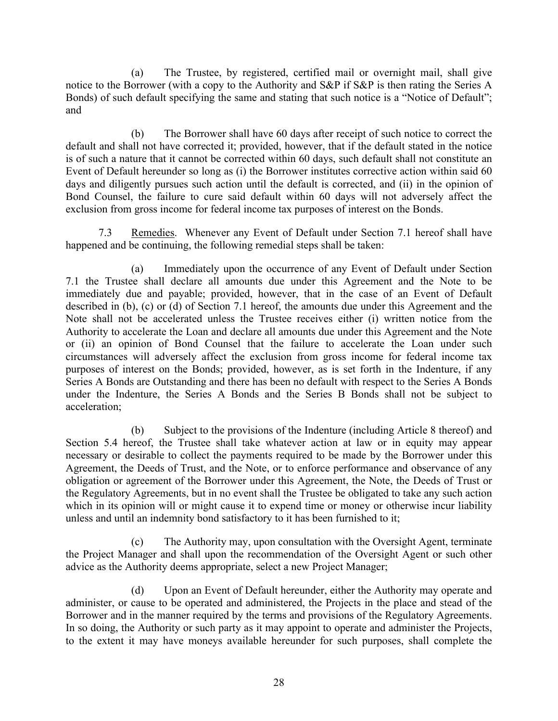(a) The Trustee, by registered, certified mail or overnight mail, shall give notice to the Borrower (with a copy to the Authority and S&P if S&P is then rating the Series A Bonds) of such default specifying the same and stating that such notice is a "Notice of Default"; and

(b) The Borrower shall have 60 days after receipt of such notice to correct the default and shall not have corrected it; provided, however, that if the default stated in the notice is of such a nature that it cannot be corrected within 60 days, such default shall not constitute an Event of Default hereunder so long as (i) the Borrower institutes corrective action within said 60 days and diligently pursues such action until the default is corrected, and (ii) in the opinion of Bond Counsel, the failure to cure said default within 60 days will not adversely affect the exclusion from gross income for federal income tax purposes of interest on the Bonds.

7.3 Remedies. Whenever any Event of Default under Section 7.1 hereof shall have happened and be continuing, the following remedial steps shall be taken:

(a) Immediately upon the occurrence of any Event of Default under Section 7.1 the Trustee shall declare all amounts due under this Agreement and the Note to be immediately due and payable; provided, however, that in the case of an Event of Default described in (b), (c) or (d) of Section 7.1 hereof, the amounts due under this Agreement and the Note shall not be accelerated unless the Trustee receives either (i) written notice from the Authority to accelerate the Loan and declare all amounts due under this Agreement and the Note or (ii) an opinion of Bond Counsel that the failure to accelerate the Loan under such circumstances will adversely affect the exclusion from gross income for federal income tax purposes of interest on the Bonds; provided, however, as is set forth in the Indenture, if any Series A Bonds are Outstanding and there has been no default with respect to the Series A Bonds under the Indenture, the Series A Bonds and the Series B Bonds shall not be subject to acceleration;

(b) Subject to the provisions of the Indenture (including Article 8 thereof) and Section 5.4 hereof, the Trustee shall take whatever action at law or in equity may appear necessary or desirable to collect the payments required to be made by the Borrower under this Agreement, the Deeds of Trust, and the Note, or to enforce performance and observance of any obligation or agreement of the Borrower under this Agreement, the Note, the Deeds of Trust or the Regulatory Agreements, but in no event shall the Trustee be obligated to take any such action which in its opinion will or might cause it to expend time or money or otherwise incur liability unless and until an indemnity bond satisfactory to it has been furnished to it;

(c) The Authority may, upon consultation with the Oversight Agent, terminate the Project Manager and shall upon the recommendation of the Oversight Agent or such other advice as the Authority deems appropriate, select a new Project Manager;

(d) Upon an Event of Default hereunder, either the Authority may operate and administer, or cause to be operated and administered, the Projects in the place and stead of the Borrower and in the manner required by the terms and provisions of the Regulatory Agreements. In so doing, the Authority or such party as it may appoint to operate and administer the Projects, to the extent it may have moneys available hereunder for such purposes, shall complete the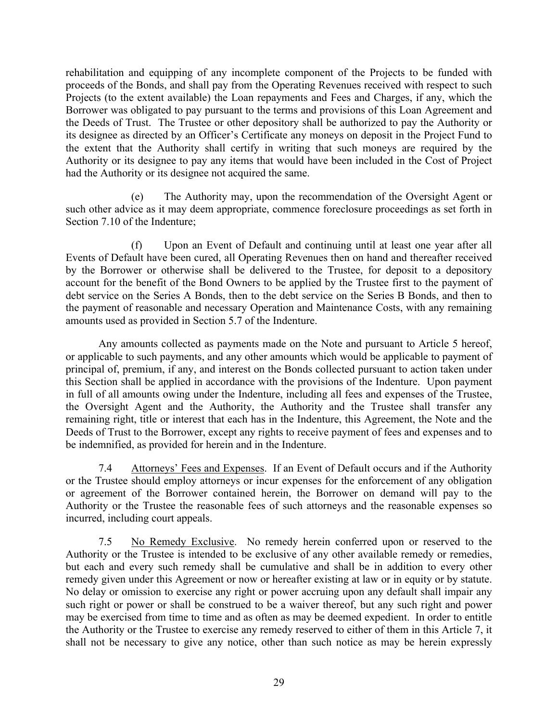rehabilitation and equipping of any incomplete component of the Projects to be funded with proceeds of the Bonds, and shall pay from the Operating Revenues received with respect to such Projects (to the extent available) the Loan repayments and Fees and Charges, if any, which the Borrower was obligated to pay pursuant to the terms and provisions of this Loan Agreement and the Deeds of Trust. The Trustee or other depository shall be authorized to pay the Authority or its designee as directed by an Officer's Certificate any moneys on deposit in the Project Fund to the extent that the Authority shall certify in writing that such moneys are required by the Authority or its designee to pay any items that would have been included in the Cost of Project had the Authority or its designee not acquired the same.

(e) The Authority may, upon the recommendation of the Oversight Agent or such other advice as it may deem appropriate, commence foreclosure proceedings as set forth in Section 7.10 of the Indenture;

(f) Upon an Event of Default and continuing until at least one year after all Events of Default have been cured, all Operating Revenues then on hand and thereafter received by the Borrower or otherwise shall be delivered to the Trustee, for deposit to a depository account for the benefit of the Bond Owners to be applied by the Trustee first to the payment of debt service on the Series A Bonds, then to the debt service on the Series B Bonds, and then to the payment of reasonable and necessary Operation and Maintenance Costs, with any remaining amounts used as provided in Section 5.7 of the Indenture.

Any amounts collected as payments made on the Note and pursuant to Article 5 hereof, or applicable to such payments, and any other amounts which would be applicable to payment of principal of, premium, if any, and interest on the Bonds collected pursuant to action taken under this Section shall be applied in accordance with the provisions of the Indenture. Upon payment in full of all amounts owing under the Indenture, including all fees and expenses of the Trustee, the Oversight Agent and the Authority, the Authority and the Trustee shall transfer any remaining right, title or interest that each has in the Indenture, this Agreement, the Note and the Deeds of Trust to the Borrower, except any rights to receive payment of fees and expenses and to be indemnified, as provided for herein and in the Indenture.

7.4 Attorneys' Fees and Expenses. If an Event of Default occurs and if the Authority or the Trustee should employ attorneys or incur expenses for the enforcement of any obligation or agreement of the Borrower contained herein, the Borrower on demand will pay to the Authority or the Trustee the reasonable fees of such attorneys and the reasonable expenses so incurred, including court appeals.

7.5 No Remedy Exclusive. No remedy herein conferred upon or reserved to the Authority or the Trustee is intended to be exclusive of any other available remedy or remedies, but each and every such remedy shall be cumulative and shall be in addition to every other remedy given under this Agreement or now or hereafter existing at law or in equity or by statute. No delay or omission to exercise any right or power accruing upon any default shall impair any such right or power or shall be construed to be a waiver thereof, but any such right and power may be exercised from time to time and as often as may be deemed expedient. In order to entitle the Authority or the Trustee to exercise any remedy reserved to either of them in this Article 7, it shall not be necessary to give any notice, other than such notice as may be herein expressly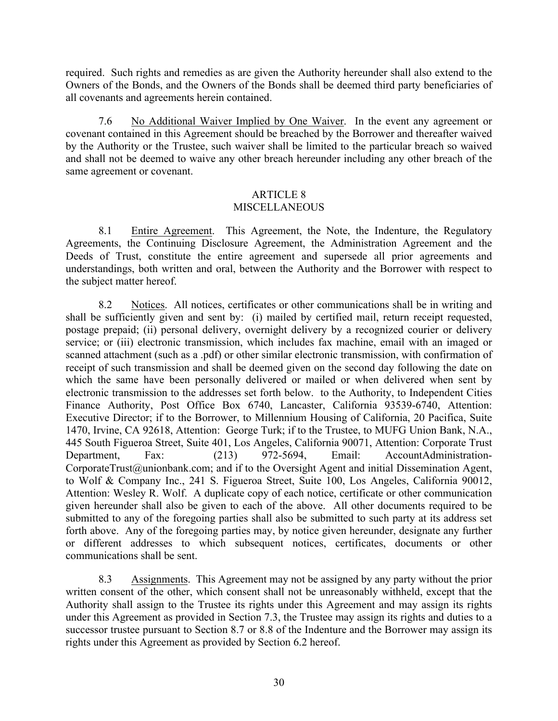required. Such rights and remedies as are given the Authority hereunder shall also extend to the Owners of the Bonds, and the Owners of the Bonds shall be deemed third party beneficiaries of all covenants and agreements herein contained.

7.6 No Additional Waiver Implied by One Waiver. In the event any agreement or covenant contained in this Agreement should be breached by the Borrower and thereafter waived by the Authority or the Trustee, such waiver shall be limited to the particular breach so waived and shall not be deemed to waive any other breach hereunder including any other breach of the same agreement or covenant.

## ARTICLE 8 **MISCELLANEOUS**

8.1 Entire Agreement. This Agreement, the Note, the Indenture, the Regulatory Agreements, the Continuing Disclosure Agreement, the Administration Agreement and the Deeds of Trust, constitute the entire agreement and supersede all prior agreements and understandings, both written and oral, between the Authority and the Borrower with respect to the subject matter hereof.

8.2 Notices. All notices, certificates or other communications shall be in writing and shall be sufficiently given and sent by: (i) mailed by certified mail, return receipt requested, postage prepaid; (ii) personal delivery, overnight delivery by a recognized courier or delivery service; or (iii) electronic transmission, which includes fax machine, email with an imaged or scanned attachment (such as a .pdf) or other similar electronic transmission, with confirmation of receipt of such transmission and shall be deemed given on the second day following the date on which the same have been personally delivered or mailed or when delivered when sent by electronic transmission to the addresses set forth below. to the Authority, to Independent Cities Finance Authority, Post Office Box 6740, Lancaster, California 93539-6740, Attention: Executive Director; if to the Borrower, to Millennium Housing of California, 20 Pacifica, Suite 1470, Irvine, CA 92618, Attention: George Turk; if to the Trustee, to MUFG Union Bank, N.A., 445 South Figueroa Street, Suite 401, Los Angeles, California 90071, Attention: Corporate Trust Department, Fax: (213) 972-5694, Email: AccountAdministration-CorporateTrust@unionbank.com; and if to the Oversight Agent and initial Dissemination Agent, to Wolf & Company Inc., 241 S. Figueroa Street, Suite 100, Los Angeles, California 90012, Attention: Wesley R. Wolf. A duplicate copy of each notice, certificate or other communication given hereunder shall also be given to each of the above. All other documents required to be submitted to any of the foregoing parties shall also be submitted to such party at its address set forth above. Any of the foregoing parties may, by notice given hereunder, designate any further or different addresses to which subsequent notices, certificates, documents or other communications shall be sent.

8.3 Assignments. This Agreement may not be assigned by any party without the prior written consent of the other, which consent shall not be unreasonably withheld, except that the Authority shall assign to the Trustee its rights under this Agreement and may assign its rights under this Agreement as provided in Section 7.3, the Trustee may assign its rights and duties to a successor trustee pursuant to Section 8.7 or 8.8 of the Indenture and the Borrower may assign its rights under this Agreement as provided by Section 6.2 hereof.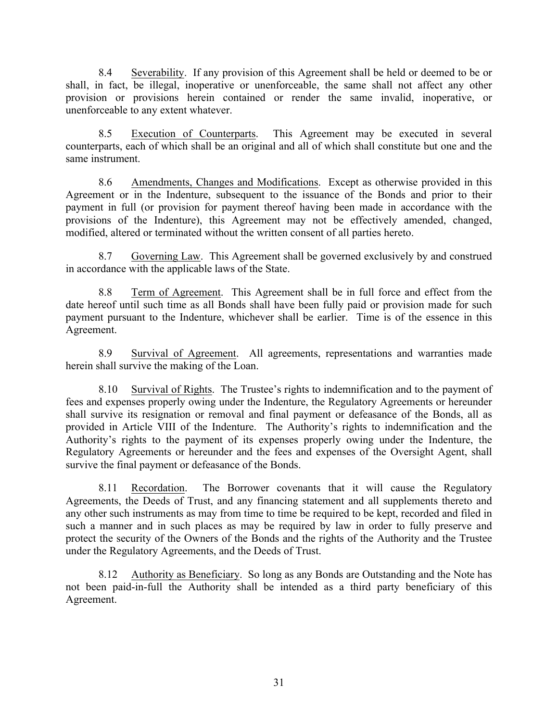8.4 Severability. If any provision of this Agreement shall be held or deemed to be or shall, in fact, be illegal, inoperative or unenforceable, the same shall not affect any other provision or provisions herein contained or render the same invalid, inoperative, or unenforceable to any extent whatever.

8.5 Execution of Counterparts. This Agreement may be executed in several counterparts, each of which shall be an original and all of which shall constitute but one and the same instrument.

8.6 Amendments, Changes and Modifications. Except as otherwise provided in this Agreement or in the Indenture, subsequent to the issuance of the Bonds and prior to their payment in full (or provision for payment thereof having been made in accordance with the provisions of the Indenture), this Agreement may not be effectively amended, changed, modified, altered or terminated without the written consent of all parties hereto.

8.7 Governing Law. This Agreement shall be governed exclusively by and construed in accordance with the applicable laws of the State.

8.8 Term of Agreement. This Agreement shall be in full force and effect from the date hereof until such time as all Bonds shall have been fully paid or provision made for such payment pursuant to the Indenture, whichever shall be earlier. Time is of the essence in this Agreement.

8.9 Survival of Agreement. All agreements, representations and warranties made herein shall survive the making of the Loan.

8.10 Survival of Rights. The Trustee's rights to indemnification and to the payment of fees and expenses properly owing under the Indenture, the Regulatory Agreements or hereunder shall survive its resignation or removal and final payment or defeasance of the Bonds, all as provided in Article VIII of the Indenture. The Authority's rights to indemnification and the Authority's rights to the payment of its expenses properly owing under the Indenture, the Regulatory Agreements or hereunder and the fees and expenses of the Oversight Agent, shall survive the final payment or defeasance of the Bonds.

8.11 Recordation. The Borrower covenants that it will cause the Regulatory Agreements, the Deeds of Trust, and any financing statement and all supplements thereto and any other such instruments as may from time to time be required to be kept, recorded and filed in such a manner and in such places as may be required by law in order to fully preserve and protect the security of the Owners of the Bonds and the rights of the Authority and the Trustee under the Regulatory Agreements, and the Deeds of Trust.

8.12 Authority as Beneficiary. So long as any Bonds are Outstanding and the Note has not been paid-in-full the Authority shall be intended as a third party beneficiary of this Agreement.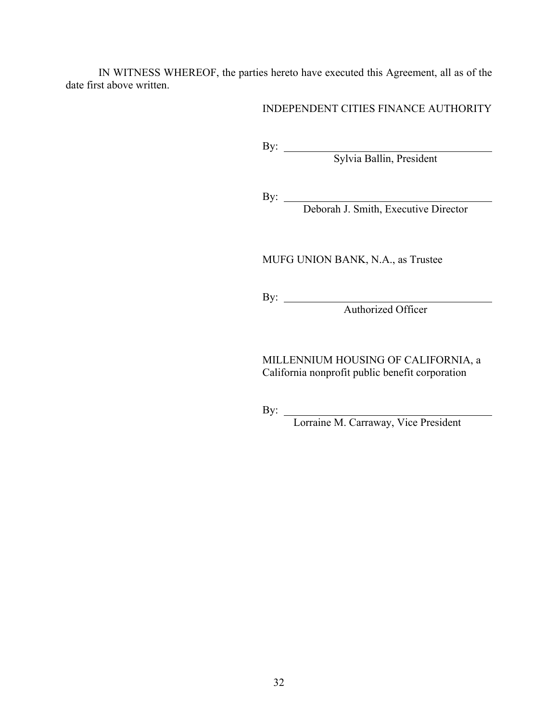IN WITNESS WHEREOF, the parties hereto have executed this Agreement, all as of the date first above written.

INDEPENDENT CITIES FINANCE AUTHORITY

By:

Sylvia Ballin, President

By:

Deborah J. Smith, Executive Director

MUFG UNION BANK, N.A., as Trustee

By:

Authorized Officer

MILLENNIUM HOUSING OF CALIFORNIA, a California nonprofit public benefit corporation

By:

Lorraine M. Carraway, Vice President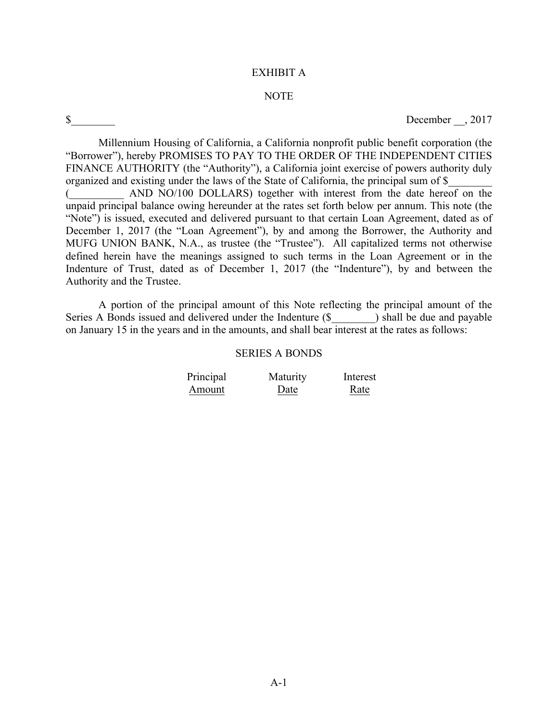#### EXHIBIT A

#### NOTE

\$ December  $, 2017$ 

Millennium Housing of California, a California nonprofit public benefit corporation (the "Borrower"), hereby PROMISES TO PAY TO THE ORDER OF THE INDEPENDENT CITIES FINANCE AUTHORITY (the "Authority"), a California joint exercise of powers authority duly organized and existing under the laws of the State of California, the principal sum of \$

(\_\_\_\_\_\_\_\_\_\_ AND NO/100 DOLLARS) together with interest from the date hereof on the unpaid principal balance owing hereunder at the rates set forth below per annum. This note (the "Note") is issued, executed and delivered pursuant to that certain Loan Agreement, dated as of December 1, 2017 (the "Loan Agreement"), by and among the Borrower, the Authority and MUFG UNION BANK, N.A., as trustee (the "Trustee"). All capitalized terms not otherwise defined herein have the meanings assigned to such terms in the Loan Agreement or in the Indenture of Trust, dated as of December 1, 2017 (the "Indenture"), by and between the Authority and the Trustee.

A portion of the principal amount of this Note reflecting the principal amount of the Series A Bonds issued and delivered under the Indenture  $(\text{S}$   $)$  shall be due and payable on January 15 in the years and in the amounts, and shall bear interest at the rates as follows:

#### SERIES A BONDS

| Principal | Maturity | Interest |
|-----------|----------|----------|
| Amount    | Date     | Rate     |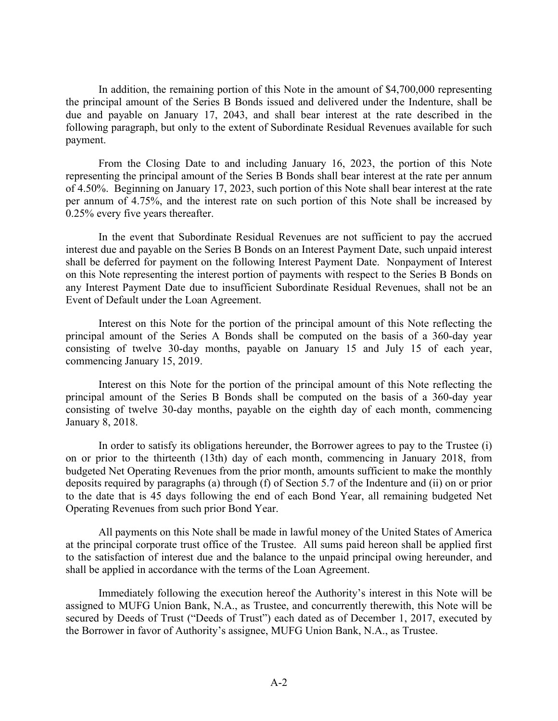In addition, the remaining portion of this Note in the amount of \$4,700,000 representing the principal amount of the Series B Bonds issued and delivered under the Indenture, shall be due and payable on January 17, 2043, and shall bear interest at the rate described in the following paragraph, but only to the extent of Subordinate Residual Revenues available for such payment.

From the Closing Date to and including January 16, 2023, the portion of this Note representing the principal amount of the Series B Bonds shall bear interest at the rate per annum of 4.50%. Beginning on January 17, 2023, such portion of this Note shall bear interest at the rate per annum of 4.75%, and the interest rate on such portion of this Note shall be increased by 0.25% every five years thereafter.

In the event that Subordinate Residual Revenues are not sufficient to pay the accrued interest due and payable on the Series B Bonds on an Interest Payment Date, such unpaid interest shall be deferred for payment on the following Interest Payment Date. Nonpayment of Interest on this Note representing the interest portion of payments with respect to the Series B Bonds on any Interest Payment Date due to insufficient Subordinate Residual Revenues, shall not be an Event of Default under the Loan Agreement.

Interest on this Note for the portion of the principal amount of this Note reflecting the principal amount of the Series A Bonds shall be computed on the basis of a 360-day year consisting of twelve 30-day months, payable on January 15 and July 15 of each year, commencing January 15, 2019.

Interest on this Note for the portion of the principal amount of this Note reflecting the principal amount of the Series B Bonds shall be computed on the basis of a 360-day year consisting of twelve 30-day months, payable on the eighth day of each month, commencing January 8, 2018.

In order to satisfy its obligations hereunder, the Borrower agrees to pay to the Trustee (i) on or prior to the thirteenth (13th) day of each month, commencing in January 2018, from budgeted Net Operating Revenues from the prior month, amounts sufficient to make the monthly deposits required by paragraphs (a) through (f) of Section 5.7 of the Indenture and (ii) on or prior to the date that is 45 days following the end of each Bond Year, all remaining budgeted Net Operating Revenues from such prior Bond Year.

All payments on this Note shall be made in lawful money of the United States of America at the principal corporate trust office of the Trustee. All sums paid hereon shall be applied first to the satisfaction of interest due and the balance to the unpaid principal owing hereunder, and shall be applied in accordance with the terms of the Loan Agreement.

Immediately following the execution hereof the Authority's interest in this Note will be assigned to MUFG Union Bank, N.A., as Trustee, and concurrently therewith, this Note will be secured by Deeds of Trust ("Deeds of Trust") each dated as of December 1, 2017, executed by the Borrower in favor of Authority's assignee, MUFG Union Bank, N.A., as Trustee.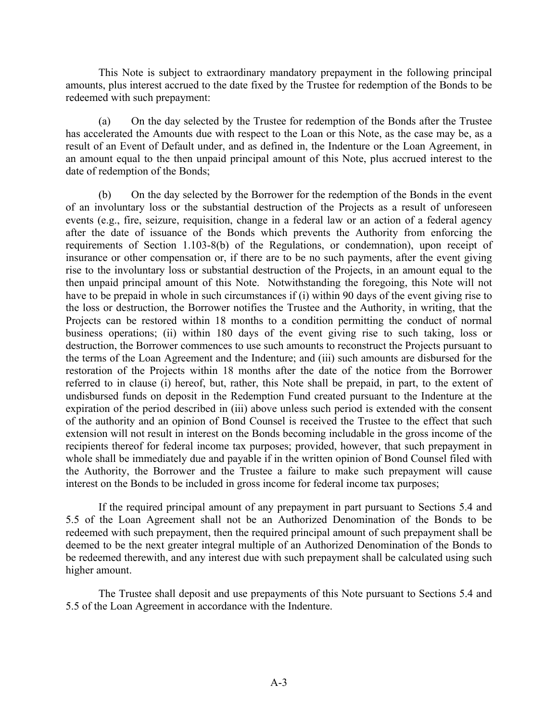This Note is subject to extraordinary mandatory prepayment in the following principal amounts, plus interest accrued to the date fixed by the Trustee for redemption of the Bonds to be redeemed with such prepayment:

(a) On the day selected by the Trustee for redemption of the Bonds after the Trustee has accelerated the Amounts due with respect to the Loan or this Note, as the case may be, as a result of an Event of Default under, and as defined in, the Indenture or the Loan Agreement, in an amount equal to the then unpaid principal amount of this Note, plus accrued interest to the date of redemption of the Bonds;

(b) On the day selected by the Borrower for the redemption of the Bonds in the event of an involuntary loss or the substantial destruction of the Projects as a result of unforeseen events (e.g., fire, seizure, requisition, change in a federal law or an action of a federal agency after the date of issuance of the Bonds which prevents the Authority from enforcing the requirements of Section 1.103-8(b) of the Regulations, or condemnation), upon receipt of insurance or other compensation or, if there are to be no such payments, after the event giving rise to the involuntary loss or substantial destruction of the Projects, in an amount equal to the then unpaid principal amount of this Note. Notwithstanding the foregoing, this Note will not have to be prepaid in whole in such circumstances if (i) within 90 days of the event giving rise to the loss or destruction, the Borrower notifies the Trustee and the Authority, in writing, that the Projects can be restored within 18 months to a condition permitting the conduct of normal business operations; (ii) within 180 days of the event giving rise to such taking, loss or destruction, the Borrower commences to use such amounts to reconstruct the Projects pursuant to the terms of the Loan Agreement and the Indenture; and (iii) such amounts are disbursed for the restoration of the Projects within 18 months after the date of the notice from the Borrower referred to in clause (i) hereof, but, rather, this Note shall be prepaid, in part, to the extent of undisbursed funds on deposit in the Redemption Fund created pursuant to the Indenture at the expiration of the period described in (iii) above unless such period is extended with the consent of the authority and an opinion of Bond Counsel is received the Trustee to the effect that such extension will not result in interest on the Bonds becoming includable in the gross income of the recipients thereof for federal income tax purposes; provided, however, that such prepayment in whole shall be immediately due and payable if in the written opinion of Bond Counsel filed with the Authority, the Borrower and the Trustee a failure to make such prepayment will cause interest on the Bonds to be included in gross income for federal income tax purposes;

If the required principal amount of any prepayment in part pursuant to Sections 5.4 and 5.5 of the Loan Agreement shall not be an Authorized Denomination of the Bonds to be redeemed with such prepayment, then the required principal amount of such prepayment shall be deemed to be the next greater integral multiple of an Authorized Denomination of the Bonds to be redeemed therewith, and any interest due with such prepayment shall be calculated using such higher amount.

The Trustee shall deposit and use prepayments of this Note pursuant to Sections 5.4 and 5.5 of the Loan Agreement in accordance with the Indenture.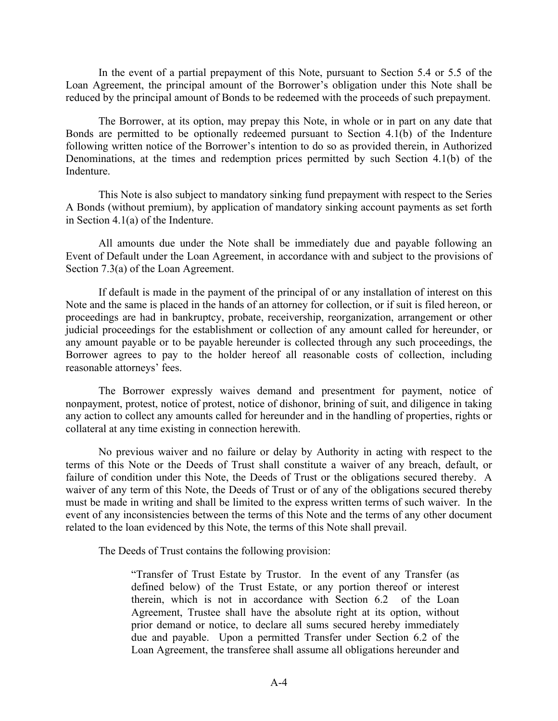In the event of a partial prepayment of this Note, pursuant to Section 5.4 or 5.5 of the Loan Agreement, the principal amount of the Borrower's obligation under this Note shall be reduced by the principal amount of Bonds to be redeemed with the proceeds of such prepayment.

The Borrower, at its option, may prepay this Note, in whole or in part on any date that Bonds are permitted to be optionally redeemed pursuant to Section 4.1(b) of the Indenture following written notice of the Borrower's intention to do so as provided therein, in Authorized Denominations, at the times and redemption prices permitted by such Section 4.1(b) of the Indenture.

This Note is also subject to mandatory sinking fund prepayment with respect to the Series A Bonds (without premium), by application of mandatory sinking account payments as set forth in Section 4.1(a) of the Indenture.

All amounts due under the Note shall be immediately due and payable following an Event of Default under the Loan Agreement, in accordance with and subject to the provisions of Section 7.3(a) of the Loan Agreement.

If default is made in the payment of the principal of or any installation of interest on this Note and the same is placed in the hands of an attorney for collection, or if suit is filed hereon, or proceedings are had in bankruptcy, probate, receivership, reorganization, arrangement or other judicial proceedings for the establishment or collection of any amount called for hereunder, or any amount payable or to be payable hereunder is collected through any such proceedings, the Borrower agrees to pay to the holder hereof all reasonable costs of collection, including reasonable attorneys' fees.

The Borrower expressly waives demand and presentment for payment, notice of nonpayment, protest, notice of protest, notice of dishonor, brining of suit, and diligence in taking any action to collect any amounts called for hereunder and in the handling of properties, rights or collateral at any time existing in connection herewith.

No previous waiver and no failure or delay by Authority in acting with respect to the terms of this Note or the Deeds of Trust shall constitute a waiver of any breach, default, or failure of condition under this Note, the Deeds of Trust or the obligations secured thereby. A waiver of any term of this Note, the Deeds of Trust or of any of the obligations secured thereby must be made in writing and shall be limited to the express written terms of such waiver. In the event of any inconsistencies between the terms of this Note and the terms of any other document related to the loan evidenced by this Note, the terms of this Note shall prevail.

The Deeds of Trust contains the following provision:

"Transfer of Trust Estate by Trustor. In the event of any Transfer (as defined below) of the Trust Estate, or any portion thereof or interest therein, which is not in accordance with Section 6.2 of the Loan Agreement, Trustee shall have the absolute right at its option, without prior demand or notice, to declare all sums secured hereby immediately due and payable. Upon a permitted Transfer under Section 6.2 of the Loan Agreement, the transferee shall assume all obligations hereunder and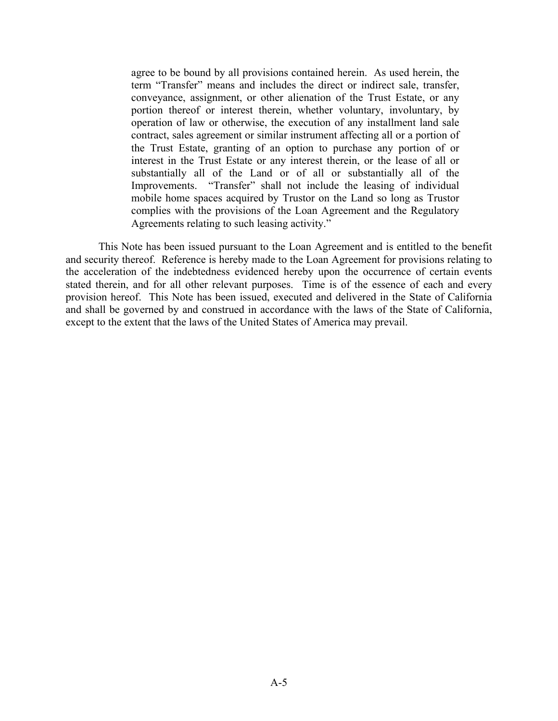agree to be bound by all provisions contained herein. As used herein, the term "Transfer" means and includes the direct or indirect sale, transfer, conveyance, assignment, or other alienation of the Trust Estate, or any portion thereof or interest therein, whether voluntary, involuntary, by operation of law or otherwise, the execution of any installment land sale contract, sales agreement or similar instrument affecting all or a portion of the Trust Estate, granting of an option to purchase any portion of or interest in the Trust Estate or any interest therein, or the lease of all or substantially all of the Land or of all or substantially all of the Improvements. "Transfer" shall not include the leasing of individual mobile home spaces acquired by Trustor on the Land so long as Trustor complies with the provisions of the Loan Agreement and the Regulatory Agreements relating to such leasing activity."

This Note has been issued pursuant to the Loan Agreement and is entitled to the benefit and security thereof. Reference is hereby made to the Loan Agreement for provisions relating to the acceleration of the indebtedness evidenced hereby upon the occurrence of certain events stated therein, and for all other relevant purposes. Time is of the essence of each and every provision hereof. This Note has been issued, executed and delivered in the State of California and shall be governed by and construed in accordance with the laws of the State of California, except to the extent that the laws of the United States of America may prevail.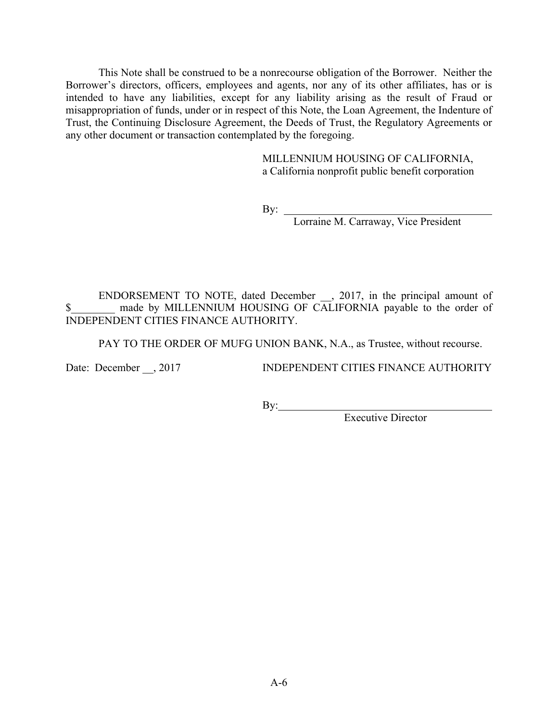This Note shall be construed to be a nonrecourse obligation of the Borrower. Neither the Borrower's directors, officers, employees and agents, nor any of its other affiliates, has or is intended to have any liabilities, except for any liability arising as the result of Fraud or misappropriation of funds, under or in respect of this Note, the Loan Agreement, the Indenture of Trust, the Continuing Disclosure Agreement, the Deeds of Trust, the Regulatory Agreements or any other document or transaction contemplated by the foregoing.

> MILLENNIUM HOUSING OF CALIFORNIA, a California nonprofit public benefit corporation

By:

Lorraine M. Carraway, Vice President

ENDORSEMENT TO NOTE, dated December, 2017, in the principal amount of \$ made by MILLENNIUM HOUSING OF CALIFORNIA payable to the order of INDEPENDENT CITIES FINANCE AUTHORITY.

PAY TO THE ORDER OF MUFG UNION BANK, N.A., as Trustee, without recourse.

Date: December , 2017 INDEPENDENT CITIES FINANCE AUTHORITY

By:  $\qquad \qquad$ 

Executive Director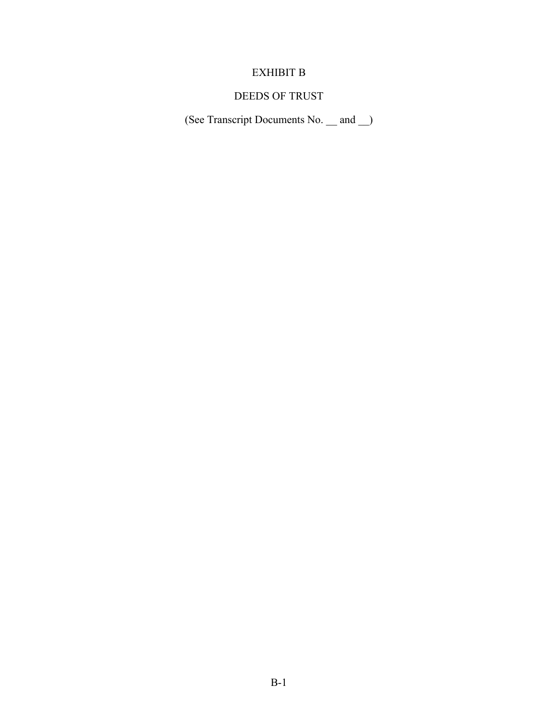## EXHIBIT B

## DEEDS OF TRUST

(See Transcript Documents No. \_\_ and \_\_)